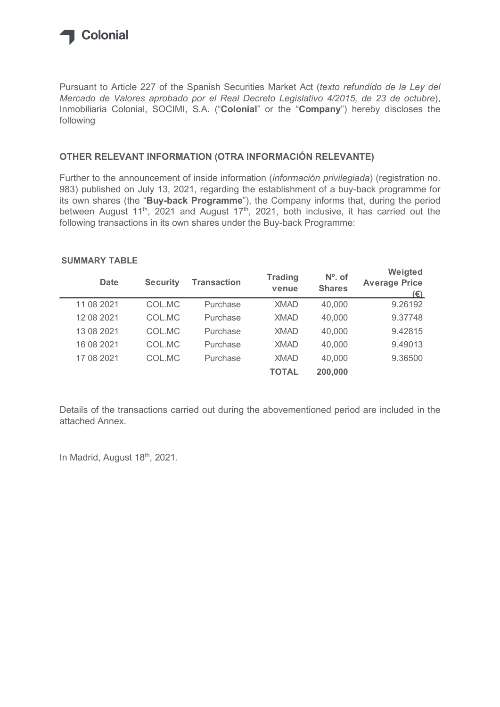

## OTHER RELEVANT INFORMATION (OTRA INFORMACIÓN RELEVANTE)

## SUMMARY TABLE

| Inmobiliaria Colonial, SOCIMI, S.A. ("Colonial" or the "Company") hereby discloses the<br>following                                                                                |                 |                    |                         |                            |                                                                                                                   |
|------------------------------------------------------------------------------------------------------------------------------------------------------------------------------------|-----------------|--------------------|-------------------------|----------------------------|-------------------------------------------------------------------------------------------------------------------|
| OTHER RELEVANT INFORMATION (OTRA INFORMACIÓN RELEVANTE)                                                                                                                            |                 |                    |                         |                            |                                                                                                                   |
| 983) published on July 13, 2021, regarding the establishment of a buy-back programme for<br>its own shares (the "Buy-back Programme"), the Company informs that, during the period |                 |                    |                         |                            | between August 11 <sup>th</sup> , 2021 and August 17 <sup>th</sup> , 2021, both inclusive, it has carried out the |
| following transactions in its own shares under the Buy-back Programme:<br><b>SUMMARY TABLE</b>                                                                                     |                 |                    |                         |                            |                                                                                                                   |
| <b>Date</b>                                                                                                                                                                        | <b>Security</b> | <b>Transaction</b> | <b>Trading</b><br>venue | $No$ . of<br><b>Shares</b> | Weigted<br><b>Average Price</b>                                                                                   |
| 11 08 2021                                                                                                                                                                         | COL.MC          | Purchase           | <b>XMAD</b>             | 40,000                     | $(\epsilon)$<br>9.26192                                                                                           |
| 12 08 2021                                                                                                                                                                         | COL.MC          | Purchase           | <b>XMAD</b>             | 40,000                     | 9.37748                                                                                                           |
| 13 08 2021                                                                                                                                                                         | COL.MC          | Purchase           | <b>XMAD</b>             | 40,000                     | 9.42815                                                                                                           |
| 16 08 2021                                                                                                                                                                         | COL.MC          | Purchase           | <b>XMAD</b>             | 40,000                     | 9.49013                                                                                                           |
| 17 08 2021                                                                                                                                                                         | COL.MC          | Purchase           | <b>XMAD</b>             | 40,000                     | 9.36500                                                                                                           |

Details of the transactions carried out during the abovementioned period are included in the attached Annex.

In Madrid, August 18th, 2021.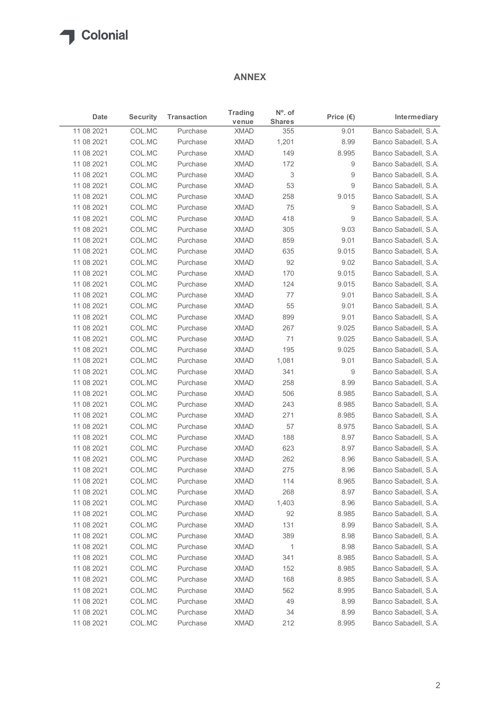## ANNEX

| $N^{\circ}$ . of<br><b>Trading</b><br><b>Security</b><br><b>Transaction</b><br>Intermediary<br>Date<br>Price $(\epsilon)$<br><b>Shares</b><br>venue<br>COL.MC<br><b>XMAD</b><br>355<br>9.01<br>Purchase<br>COL.MC<br>XMAD<br>8.99<br>Banco Sabadell, S.A.<br>Purchase<br>1,201<br>COL.MC<br><b>XMAD</b><br>Banco Sabadell, S.A.<br>11 08 2021<br>Purchase<br>149<br>8.995<br>COL.MC<br><b>XMAD</b><br>172<br>9<br>Banco Sabadell, S.A.<br>11 08 2021<br>Purchase<br>COL.MC<br><b>XMAD</b><br>3<br>11 08 2021<br>Purchase<br>9<br>COL.MC<br>XMAD<br>53<br>9<br>Banco Sabadell, S.A.<br>11 08 2021<br>Purchase<br>COL.MC<br>XMAD<br>Banco Sabadell, S.A.<br>11 08 2021<br>Purchase<br>258<br>9.015<br>COL.MC<br><b>XMAD</b><br>75<br>11 08 2021<br>Purchase<br>9<br>COL.MC<br><b>XMAD</b><br>418<br>9<br>Banco Sabadell, S.A.<br>11 08 2021<br>Purchase<br><b>XMAD</b><br>11 08 2021<br>COL.MC<br>Purchase<br>305<br>9.03<br>Banco Sabadell, S.A.<br>COL.MC<br>XMAD<br>859<br>11 08 2021<br>Purchase<br>9.01<br>Banco Sabadell, S.A.<br>COL.MC<br>XMAD<br>635<br>9.015<br>Banco Sabadell, S.A.<br>11 08 2021<br>Purchase<br>COL.MC<br><b>XMAD</b><br>92<br>9.02<br>Banco Sabadell, S.A.<br>11 08 2021<br>Purchase<br>170<br>11 08 2021<br>COL.MC<br>Purchase<br>XMAD<br>9.015<br>11 08 2021<br>COL.MC<br><b>XMAD</b><br>9.015<br>Purchase<br>124<br>COL.MC<br><b>XMAD</b><br>77<br>9.01<br>11 08 2021<br>Purchase<br>COL.MC<br><b>XMAD</b><br>55<br>9.01<br>11 08 2021<br>Purchase<br>COL.MC<br>XMAD<br>899<br>9.01<br>11 08 2021<br>Purchase<br>COL.MC<br><b>XMAD</b><br>9.025<br>11 08 2021<br>Purchase<br>267<br>COL.MC<br><b>XMAD</b><br>71<br>9.025<br>11 08 2021<br>Purchase<br><b>XMAD</b><br>195<br>9.025<br>11 08 2021<br>COL.MC<br>Purchase<br><b>XMAD</b><br>9.01<br>11 08 2021<br>COL.MC<br>Purchase<br>1,081<br>COL.MC<br><b>XMAD</b><br>341<br>11 08 2021<br>Purchase<br>9<br>COL.MC<br><b>XMAD</b><br>258<br>8.99<br>11 08 2021<br>Purchase<br>COL.MC<br>Purchase<br><b>XMAD</b><br>506<br>8.985<br>COL.MC<br>Purchase<br><b>XMAD</b><br>243<br>8.985<br>11 08 2021<br>COL.MC<br>XMAD<br>271<br>8.985<br>Purchase<br>COL.MC<br><b>XMAD</b><br>57<br>8.975<br>11 08 2021<br>Purchase<br>COL.MC<br><b>XMAD</b><br>8.97<br>11 08 2021<br>Purchase<br>188<br>COL.MC<br><b>XMAD</b><br>623<br>11 08 2021<br>Purchase<br>8.97<br>COL.MC<br><b>XMAD</b><br>262<br>8.96<br>11 08 2021<br>Purchase<br>COL.MC<br><b>XMAD</b><br>275<br>8.96<br>11 08 2021<br>Purchase<br><b>XMAD</b><br>114<br>11 08 2021<br>COL.MC<br>8.965<br>Purchase<br>XMAD<br>268<br>8.97<br>11 08 2021<br>COL.MC<br>Purchase<br>COL.MC<br><b>XMAD</b><br>1,403<br>8.96<br>Purchase<br>COL.MC<br><b>XMAD</b><br>Purchase<br>92<br>8.985<br>COL.MC<br>8.99<br>Purchase<br><b>XMAD</b><br>131<br>389<br>COL.MC<br>Purchase<br><b>XMAD</b><br>8.98<br><b>XMAD</b><br>COL.MC<br>Purchase<br>$\mathbf{1}$<br>8.98<br>COL.MC<br><b>XMAD</b><br>8.985<br>11 08 2021<br>Purchase<br>341<br>COL.MC<br><b>XMAD</b><br>8.985<br>Purchase<br>152<br>COL.MC<br><b>XMAD</b><br>8.985<br>Purchase<br>168<br><b>XMAD</b><br>8.995<br>11 08 2021<br>COL.MC<br>Purchase<br>562<br><b>XMAD</b><br>49<br>8.99<br>11 08 2021<br>COL.MC<br>Purchase<br><b>XMAD</b><br>34<br>11 08 2021<br>COL.MC<br>Purchase<br>8.99 |            |        |          | <b>ANNEX</b> |     |       |                      |
|-------------------------------------------------------------------------------------------------------------------------------------------------------------------------------------------------------------------------------------------------------------------------------------------------------------------------------------------------------------------------------------------------------------------------------------------------------------------------------------------------------------------------------------------------------------------------------------------------------------------------------------------------------------------------------------------------------------------------------------------------------------------------------------------------------------------------------------------------------------------------------------------------------------------------------------------------------------------------------------------------------------------------------------------------------------------------------------------------------------------------------------------------------------------------------------------------------------------------------------------------------------------------------------------------------------------------------------------------------------------------------------------------------------------------------------------------------------------------------------------------------------------------------------------------------------------------------------------------------------------------------------------------------------------------------------------------------------------------------------------------------------------------------------------------------------------------------------------------------------------------------------------------------------------------------------------------------------------------------------------------------------------------------------------------------------------------------------------------------------------------------------------------------------------------------------------------------------------------------------------------------------------------------------------------------------------------------------------------------------------------------------------------------------------------------------------------------------------------------------------------------------------------------------------------------------------------------------------------------------------------------------------------------------------------------------------------------------------------------------------------------------------------------------------------------------------------------------------------------------------------------------------------------------------------------------------------------------------------------------------------------------------------------------------------------------------------------------------------------------------------------------------------------------------------------------------------------------------------------------------------------------------------|------------|--------|----------|--------------|-----|-------|----------------------|
| Banco Sabadell, S.A.<br>Banco Sabadell, S.A.<br>Banco Sabadell, S.A.<br>Banco Sabadell, S.A.<br>Banco Sabadell, S.A.<br>Banco Sabadell, S.A.<br>Banco Sabadell, S.A.<br>Banco Sabadell, S.A.<br>Banco Sabadell, S.A.<br>Banco Sabadell, S.A.<br>Banco Sabadell, S.A.<br>Banco Sabadell, S.A.<br>Banco Sabadell, S.A.<br>Banco Sabadell, S.A.<br>Banco Sabadell, S.A.<br>Banco Sabadell, S.A.<br>Banco Sabadell, S.A.<br>Banco Sabadell, S.A.<br>Banco Sabadell, S.A.<br>Banco Sabadell, S.A.<br>Banco Sabadell, S.A.<br>Banco Sabadell, S.A.<br>Banco Sabadell, S.A.<br>Banco Sabadell, S.A.<br>Banco Sabadell, S.A.<br>Banco Sabadell, S.A.<br>Banco Sabadell, S.A.<br>Banco Sabadell, S.A.<br>Banco Sabadell, S.A.<br>Banco Sabadell, S.A.<br>Banco Sabadell, S.A.<br>Banco Sabadell, S.A.<br>Banco Sabadell, S.A.<br>Banco Sabadell, S.A.<br>Banco Sabadell, S.A.                                                                                                                                                                                                                                                                                                                                                                                                                                                                                                                                                                                                                                                                                                                                                                                                                                                                                                                                                                                                                                                                                                                                                                                                                                                                                                                                                                                                                                                                                                                                                                                                                                                                                                                                                                                                                                                                                                                                                                                                                                                                                                                                                                                                                                                                                                                                                                                                    |            |        |          |              |     |       |                      |
|                                                                                                                                                                                                                                                                                                                                                                                                                                                                                                                                                                                                                                                                                                                                                                                                                                                                                                                                                                                                                                                                                                                                                                                                                                                                                                                                                                                                                                                                                                                                                                                                                                                                                                                                                                                                                                                                                                                                                                                                                                                                                                                                                                                                                                                                                                                                                                                                                                                                                                                                                                                                                                                                                                                                                                                                                                                                                                                                                                                                                                                                                                                                                                                                                                                                         | 11 08 2021 |        |          |              |     |       |                      |
|                                                                                                                                                                                                                                                                                                                                                                                                                                                                                                                                                                                                                                                                                                                                                                                                                                                                                                                                                                                                                                                                                                                                                                                                                                                                                                                                                                                                                                                                                                                                                                                                                                                                                                                                                                                                                                                                                                                                                                                                                                                                                                                                                                                                                                                                                                                                                                                                                                                                                                                                                                                                                                                                                                                                                                                                                                                                                                                                                                                                                                                                                                                                                                                                                                                                         | 11 08 2021 |        |          |              |     |       |                      |
|                                                                                                                                                                                                                                                                                                                                                                                                                                                                                                                                                                                                                                                                                                                                                                                                                                                                                                                                                                                                                                                                                                                                                                                                                                                                                                                                                                                                                                                                                                                                                                                                                                                                                                                                                                                                                                                                                                                                                                                                                                                                                                                                                                                                                                                                                                                                                                                                                                                                                                                                                                                                                                                                                                                                                                                                                                                                                                                                                                                                                                                                                                                                                                                                                                                                         |            |        |          |              |     |       |                      |
|                                                                                                                                                                                                                                                                                                                                                                                                                                                                                                                                                                                                                                                                                                                                                                                                                                                                                                                                                                                                                                                                                                                                                                                                                                                                                                                                                                                                                                                                                                                                                                                                                                                                                                                                                                                                                                                                                                                                                                                                                                                                                                                                                                                                                                                                                                                                                                                                                                                                                                                                                                                                                                                                                                                                                                                                                                                                                                                                                                                                                                                                                                                                                                                                                                                                         |            |        |          |              |     |       |                      |
|                                                                                                                                                                                                                                                                                                                                                                                                                                                                                                                                                                                                                                                                                                                                                                                                                                                                                                                                                                                                                                                                                                                                                                                                                                                                                                                                                                                                                                                                                                                                                                                                                                                                                                                                                                                                                                                                                                                                                                                                                                                                                                                                                                                                                                                                                                                                                                                                                                                                                                                                                                                                                                                                                                                                                                                                                                                                                                                                                                                                                                                                                                                                                                                                                                                                         |            |        |          |              |     |       |                      |
|                                                                                                                                                                                                                                                                                                                                                                                                                                                                                                                                                                                                                                                                                                                                                                                                                                                                                                                                                                                                                                                                                                                                                                                                                                                                                                                                                                                                                                                                                                                                                                                                                                                                                                                                                                                                                                                                                                                                                                                                                                                                                                                                                                                                                                                                                                                                                                                                                                                                                                                                                                                                                                                                                                                                                                                                                                                                                                                                                                                                                                                                                                                                                                                                                                                                         |            |        |          |              |     |       |                      |
|                                                                                                                                                                                                                                                                                                                                                                                                                                                                                                                                                                                                                                                                                                                                                                                                                                                                                                                                                                                                                                                                                                                                                                                                                                                                                                                                                                                                                                                                                                                                                                                                                                                                                                                                                                                                                                                                                                                                                                                                                                                                                                                                                                                                                                                                                                                                                                                                                                                                                                                                                                                                                                                                                                                                                                                                                                                                                                                                                                                                                                                                                                                                                                                                                                                                         |            |        |          |              |     |       |                      |
|                                                                                                                                                                                                                                                                                                                                                                                                                                                                                                                                                                                                                                                                                                                                                                                                                                                                                                                                                                                                                                                                                                                                                                                                                                                                                                                                                                                                                                                                                                                                                                                                                                                                                                                                                                                                                                                                                                                                                                                                                                                                                                                                                                                                                                                                                                                                                                                                                                                                                                                                                                                                                                                                                                                                                                                                                                                                                                                                                                                                                                                                                                                                                                                                                                                                         |            |        |          |              |     |       |                      |
|                                                                                                                                                                                                                                                                                                                                                                                                                                                                                                                                                                                                                                                                                                                                                                                                                                                                                                                                                                                                                                                                                                                                                                                                                                                                                                                                                                                                                                                                                                                                                                                                                                                                                                                                                                                                                                                                                                                                                                                                                                                                                                                                                                                                                                                                                                                                                                                                                                                                                                                                                                                                                                                                                                                                                                                                                                                                                                                                                                                                                                                                                                                                                                                                                                                                         |            |        |          |              |     |       |                      |
|                                                                                                                                                                                                                                                                                                                                                                                                                                                                                                                                                                                                                                                                                                                                                                                                                                                                                                                                                                                                                                                                                                                                                                                                                                                                                                                                                                                                                                                                                                                                                                                                                                                                                                                                                                                                                                                                                                                                                                                                                                                                                                                                                                                                                                                                                                                                                                                                                                                                                                                                                                                                                                                                                                                                                                                                                                                                                                                                                                                                                                                                                                                                                                                                                                                                         |            |        |          |              |     |       |                      |
|                                                                                                                                                                                                                                                                                                                                                                                                                                                                                                                                                                                                                                                                                                                                                                                                                                                                                                                                                                                                                                                                                                                                                                                                                                                                                                                                                                                                                                                                                                                                                                                                                                                                                                                                                                                                                                                                                                                                                                                                                                                                                                                                                                                                                                                                                                                                                                                                                                                                                                                                                                                                                                                                                                                                                                                                                                                                                                                                                                                                                                                                                                                                                                                                                                                                         |            |        |          |              |     |       |                      |
|                                                                                                                                                                                                                                                                                                                                                                                                                                                                                                                                                                                                                                                                                                                                                                                                                                                                                                                                                                                                                                                                                                                                                                                                                                                                                                                                                                                                                                                                                                                                                                                                                                                                                                                                                                                                                                                                                                                                                                                                                                                                                                                                                                                                                                                                                                                                                                                                                                                                                                                                                                                                                                                                                                                                                                                                                                                                                                                                                                                                                                                                                                                                                                                                                                                                         |            |        |          |              |     |       |                      |
|                                                                                                                                                                                                                                                                                                                                                                                                                                                                                                                                                                                                                                                                                                                                                                                                                                                                                                                                                                                                                                                                                                                                                                                                                                                                                                                                                                                                                                                                                                                                                                                                                                                                                                                                                                                                                                                                                                                                                                                                                                                                                                                                                                                                                                                                                                                                                                                                                                                                                                                                                                                                                                                                                                                                                                                                                                                                                                                                                                                                                                                                                                                                                                                                                                                                         |            |        |          |              |     |       |                      |
|                                                                                                                                                                                                                                                                                                                                                                                                                                                                                                                                                                                                                                                                                                                                                                                                                                                                                                                                                                                                                                                                                                                                                                                                                                                                                                                                                                                                                                                                                                                                                                                                                                                                                                                                                                                                                                                                                                                                                                                                                                                                                                                                                                                                                                                                                                                                                                                                                                                                                                                                                                                                                                                                                                                                                                                                                                                                                                                                                                                                                                                                                                                                                                                                                                                                         |            |        |          |              |     |       |                      |
|                                                                                                                                                                                                                                                                                                                                                                                                                                                                                                                                                                                                                                                                                                                                                                                                                                                                                                                                                                                                                                                                                                                                                                                                                                                                                                                                                                                                                                                                                                                                                                                                                                                                                                                                                                                                                                                                                                                                                                                                                                                                                                                                                                                                                                                                                                                                                                                                                                                                                                                                                                                                                                                                                                                                                                                                                                                                                                                                                                                                                                                                                                                                                                                                                                                                         |            |        |          |              |     |       |                      |
|                                                                                                                                                                                                                                                                                                                                                                                                                                                                                                                                                                                                                                                                                                                                                                                                                                                                                                                                                                                                                                                                                                                                                                                                                                                                                                                                                                                                                                                                                                                                                                                                                                                                                                                                                                                                                                                                                                                                                                                                                                                                                                                                                                                                                                                                                                                                                                                                                                                                                                                                                                                                                                                                                                                                                                                                                                                                                                                                                                                                                                                                                                                                                                                                                                                                         |            |        |          |              |     |       |                      |
|                                                                                                                                                                                                                                                                                                                                                                                                                                                                                                                                                                                                                                                                                                                                                                                                                                                                                                                                                                                                                                                                                                                                                                                                                                                                                                                                                                                                                                                                                                                                                                                                                                                                                                                                                                                                                                                                                                                                                                                                                                                                                                                                                                                                                                                                                                                                                                                                                                                                                                                                                                                                                                                                                                                                                                                                                                                                                                                                                                                                                                                                                                                                                                                                                                                                         |            |        |          |              |     |       |                      |
|                                                                                                                                                                                                                                                                                                                                                                                                                                                                                                                                                                                                                                                                                                                                                                                                                                                                                                                                                                                                                                                                                                                                                                                                                                                                                                                                                                                                                                                                                                                                                                                                                                                                                                                                                                                                                                                                                                                                                                                                                                                                                                                                                                                                                                                                                                                                                                                                                                                                                                                                                                                                                                                                                                                                                                                                                                                                                                                                                                                                                                                                                                                                                                                                                                                                         |            |        |          |              |     |       |                      |
|                                                                                                                                                                                                                                                                                                                                                                                                                                                                                                                                                                                                                                                                                                                                                                                                                                                                                                                                                                                                                                                                                                                                                                                                                                                                                                                                                                                                                                                                                                                                                                                                                                                                                                                                                                                                                                                                                                                                                                                                                                                                                                                                                                                                                                                                                                                                                                                                                                                                                                                                                                                                                                                                                                                                                                                                                                                                                                                                                                                                                                                                                                                                                                                                                                                                         |            |        |          |              |     |       |                      |
|                                                                                                                                                                                                                                                                                                                                                                                                                                                                                                                                                                                                                                                                                                                                                                                                                                                                                                                                                                                                                                                                                                                                                                                                                                                                                                                                                                                                                                                                                                                                                                                                                                                                                                                                                                                                                                                                                                                                                                                                                                                                                                                                                                                                                                                                                                                                                                                                                                                                                                                                                                                                                                                                                                                                                                                                                                                                                                                                                                                                                                                                                                                                                                                                                                                                         |            |        |          |              |     |       |                      |
|                                                                                                                                                                                                                                                                                                                                                                                                                                                                                                                                                                                                                                                                                                                                                                                                                                                                                                                                                                                                                                                                                                                                                                                                                                                                                                                                                                                                                                                                                                                                                                                                                                                                                                                                                                                                                                                                                                                                                                                                                                                                                                                                                                                                                                                                                                                                                                                                                                                                                                                                                                                                                                                                                                                                                                                                                                                                                                                                                                                                                                                                                                                                                                                                                                                                         |            |        |          |              |     |       |                      |
|                                                                                                                                                                                                                                                                                                                                                                                                                                                                                                                                                                                                                                                                                                                                                                                                                                                                                                                                                                                                                                                                                                                                                                                                                                                                                                                                                                                                                                                                                                                                                                                                                                                                                                                                                                                                                                                                                                                                                                                                                                                                                                                                                                                                                                                                                                                                                                                                                                                                                                                                                                                                                                                                                                                                                                                                                                                                                                                                                                                                                                                                                                                                                                                                                                                                         |            |        |          |              |     |       |                      |
|                                                                                                                                                                                                                                                                                                                                                                                                                                                                                                                                                                                                                                                                                                                                                                                                                                                                                                                                                                                                                                                                                                                                                                                                                                                                                                                                                                                                                                                                                                                                                                                                                                                                                                                                                                                                                                                                                                                                                                                                                                                                                                                                                                                                                                                                                                                                                                                                                                                                                                                                                                                                                                                                                                                                                                                                                                                                                                                                                                                                                                                                                                                                                                                                                                                                         |            |        |          |              |     |       |                      |
|                                                                                                                                                                                                                                                                                                                                                                                                                                                                                                                                                                                                                                                                                                                                                                                                                                                                                                                                                                                                                                                                                                                                                                                                                                                                                                                                                                                                                                                                                                                                                                                                                                                                                                                                                                                                                                                                                                                                                                                                                                                                                                                                                                                                                                                                                                                                                                                                                                                                                                                                                                                                                                                                                                                                                                                                                                                                                                                                                                                                                                                                                                                                                                                                                                                                         |            |        |          |              |     |       |                      |
|                                                                                                                                                                                                                                                                                                                                                                                                                                                                                                                                                                                                                                                                                                                                                                                                                                                                                                                                                                                                                                                                                                                                                                                                                                                                                                                                                                                                                                                                                                                                                                                                                                                                                                                                                                                                                                                                                                                                                                                                                                                                                                                                                                                                                                                                                                                                                                                                                                                                                                                                                                                                                                                                                                                                                                                                                                                                                                                                                                                                                                                                                                                                                                                                                                                                         | 11 08 2021 |        |          |              |     |       |                      |
|                                                                                                                                                                                                                                                                                                                                                                                                                                                                                                                                                                                                                                                                                                                                                                                                                                                                                                                                                                                                                                                                                                                                                                                                                                                                                                                                                                                                                                                                                                                                                                                                                                                                                                                                                                                                                                                                                                                                                                                                                                                                                                                                                                                                                                                                                                                                                                                                                                                                                                                                                                                                                                                                                                                                                                                                                                                                                                                                                                                                                                                                                                                                                                                                                                                                         | 11 08 2021 |        |          |              |     |       |                      |
|                                                                                                                                                                                                                                                                                                                                                                                                                                                                                                                                                                                                                                                                                                                                                                                                                                                                                                                                                                                                                                                                                                                                                                                                                                                                                                                                                                                                                                                                                                                                                                                                                                                                                                                                                                                                                                                                                                                                                                                                                                                                                                                                                                                                                                                                                                                                                                                                                                                                                                                                                                                                                                                                                                                                                                                                                                                                                                                                                                                                                                                                                                                                                                                                                                                                         |            |        |          |              |     |       |                      |
|                                                                                                                                                                                                                                                                                                                                                                                                                                                                                                                                                                                                                                                                                                                                                                                                                                                                                                                                                                                                                                                                                                                                                                                                                                                                                                                                                                                                                                                                                                                                                                                                                                                                                                                                                                                                                                                                                                                                                                                                                                                                                                                                                                                                                                                                                                                                                                                                                                                                                                                                                                                                                                                                                                                                                                                                                                                                                                                                                                                                                                                                                                                                                                                                                                                                         |            |        |          |              |     |       |                      |
|                                                                                                                                                                                                                                                                                                                                                                                                                                                                                                                                                                                                                                                                                                                                                                                                                                                                                                                                                                                                                                                                                                                                                                                                                                                                                                                                                                                                                                                                                                                                                                                                                                                                                                                                                                                                                                                                                                                                                                                                                                                                                                                                                                                                                                                                                                                                                                                                                                                                                                                                                                                                                                                                                                                                                                                                                                                                                                                                                                                                                                                                                                                                                                                                                                                                         |            |        |          |              |     |       |                      |
|                                                                                                                                                                                                                                                                                                                                                                                                                                                                                                                                                                                                                                                                                                                                                                                                                                                                                                                                                                                                                                                                                                                                                                                                                                                                                                                                                                                                                                                                                                                                                                                                                                                                                                                                                                                                                                                                                                                                                                                                                                                                                                                                                                                                                                                                                                                                                                                                                                                                                                                                                                                                                                                                                                                                                                                                                                                                                                                                                                                                                                                                                                                                                                                                                                                                         |            |        |          |              |     |       |                      |
|                                                                                                                                                                                                                                                                                                                                                                                                                                                                                                                                                                                                                                                                                                                                                                                                                                                                                                                                                                                                                                                                                                                                                                                                                                                                                                                                                                                                                                                                                                                                                                                                                                                                                                                                                                                                                                                                                                                                                                                                                                                                                                                                                                                                                                                                                                                                                                                                                                                                                                                                                                                                                                                                                                                                                                                                                                                                                                                                                                                                                                                                                                                                                                                                                                                                         |            |        |          |              |     |       |                      |
|                                                                                                                                                                                                                                                                                                                                                                                                                                                                                                                                                                                                                                                                                                                                                                                                                                                                                                                                                                                                                                                                                                                                                                                                                                                                                                                                                                                                                                                                                                                                                                                                                                                                                                                                                                                                                                                                                                                                                                                                                                                                                                                                                                                                                                                                                                                                                                                                                                                                                                                                                                                                                                                                                                                                                                                                                                                                                                                                                                                                                                                                                                                                                                                                                                                                         |            |        |          |              |     |       |                      |
|                                                                                                                                                                                                                                                                                                                                                                                                                                                                                                                                                                                                                                                                                                                                                                                                                                                                                                                                                                                                                                                                                                                                                                                                                                                                                                                                                                                                                                                                                                                                                                                                                                                                                                                                                                                                                                                                                                                                                                                                                                                                                                                                                                                                                                                                                                                                                                                                                                                                                                                                                                                                                                                                                                                                                                                                                                                                                                                                                                                                                                                                                                                                                                                                                                                                         |            |        |          |              |     |       |                      |
|                                                                                                                                                                                                                                                                                                                                                                                                                                                                                                                                                                                                                                                                                                                                                                                                                                                                                                                                                                                                                                                                                                                                                                                                                                                                                                                                                                                                                                                                                                                                                                                                                                                                                                                                                                                                                                                                                                                                                                                                                                                                                                                                                                                                                                                                                                                                                                                                                                                                                                                                                                                                                                                                                                                                                                                                                                                                                                                                                                                                                                                                                                                                                                                                                                                                         |            |        |          |              |     |       |                      |
|                                                                                                                                                                                                                                                                                                                                                                                                                                                                                                                                                                                                                                                                                                                                                                                                                                                                                                                                                                                                                                                                                                                                                                                                                                                                                                                                                                                                                                                                                                                                                                                                                                                                                                                                                                                                                                                                                                                                                                                                                                                                                                                                                                                                                                                                                                                                                                                                                                                                                                                                                                                                                                                                                                                                                                                                                                                                                                                                                                                                                                                                                                                                                                                                                                                                         | 11 08 2021 |        |          |              |     |       |                      |
|                                                                                                                                                                                                                                                                                                                                                                                                                                                                                                                                                                                                                                                                                                                                                                                                                                                                                                                                                                                                                                                                                                                                                                                                                                                                                                                                                                                                                                                                                                                                                                                                                                                                                                                                                                                                                                                                                                                                                                                                                                                                                                                                                                                                                                                                                                                                                                                                                                                                                                                                                                                                                                                                                                                                                                                                                                                                                                                                                                                                                                                                                                                                                                                                                                                                         | 11 08 2021 |        |          |              |     |       |                      |
|                                                                                                                                                                                                                                                                                                                                                                                                                                                                                                                                                                                                                                                                                                                                                                                                                                                                                                                                                                                                                                                                                                                                                                                                                                                                                                                                                                                                                                                                                                                                                                                                                                                                                                                                                                                                                                                                                                                                                                                                                                                                                                                                                                                                                                                                                                                                                                                                                                                                                                                                                                                                                                                                                                                                                                                                                                                                                                                                                                                                                                                                                                                                                                                                                                                                         | 11 08 2021 |        |          |              |     |       |                      |
|                                                                                                                                                                                                                                                                                                                                                                                                                                                                                                                                                                                                                                                                                                                                                                                                                                                                                                                                                                                                                                                                                                                                                                                                                                                                                                                                                                                                                                                                                                                                                                                                                                                                                                                                                                                                                                                                                                                                                                                                                                                                                                                                                                                                                                                                                                                                                                                                                                                                                                                                                                                                                                                                                                                                                                                                                                                                                                                                                                                                                                                                                                                                                                                                                                                                         | 11 08 2021 |        |          |              |     |       |                      |
|                                                                                                                                                                                                                                                                                                                                                                                                                                                                                                                                                                                                                                                                                                                                                                                                                                                                                                                                                                                                                                                                                                                                                                                                                                                                                                                                                                                                                                                                                                                                                                                                                                                                                                                                                                                                                                                                                                                                                                                                                                                                                                                                                                                                                                                                                                                                                                                                                                                                                                                                                                                                                                                                                                                                                                                                                                                                                                                                                                                                                                                                                                                                                                                                                                                                         | 11 08 2021 |        |          |              |     |       |                      |
|                                                                                                                                                                                                                                                                                                                                                                                                                                                                                                                                                                                                                                                                                                                                                                                                                                                                                                                                                                                                                                                                                                                                                                                                                                                                                                                                                                                                                                                                                                                                                                                                                                                                                                                                                                                                                                                                                                                                                                                                                                                                                                                                                                                                                                                                                                                                                                                                                                                                                                                                                                                                                                                                                                                                                                                                                                                                                                                                                                                                                                                                                                                                                                                                                                                                         |            |        |          |              |     |       |                      |
|                                                                                                                                                                                                                                                                                                                                                                                                                                                                                                                                                                                                                                                                                                                                                                                                                                                                                                                                                                                                                                                                                                                                                                                                                                                                                                                                                                                                                                                                                                                                                                                                                                                                                                                                                                                                                                                                                                                                                                                                                                                                                                                                                                                                                                                                                                                                                                                                                                                                                                                                                                                                                                                                                                                                                                                                                                                                                                                                                                                                                                                                                                                                                                                                                                                                         | 11 08 2021 |        |          |              |     |       |                      |
|                                                                                                                                                                                                                                                                                                                                                                                                                                                                                                                                                                                                                                                                                                                                                                                                                                                                                                                                                                                                                                                                                                                                                                                                                                                                                                                                                                                                                                                                                                                                                                                                                                                                                                                                                                                                                                                                                                                                                                                                                                                                                                                                                                                                                                                                                                                                                                                                                                                                                                                                                                                                                                                                                                                                                                                                                                                                                                                                                                                                                                                                                                                                                                                                                                                                         | 11 08 2021 |        |          |              |     |       |                      |
|                                                                                                                                                                                                                                                                                                                                                                                                                                                                                                                                                                                                                                                                                                                                                                                                                                                                                                                                                                                                                                                                                                                                                                                                                                                                                                                                                                                                                                                                                                                                                                                                                                                                                                                                                                                                                                                                                                                                                                                                                                                                                                                                                                                                                                                                                                                                                                                                                                                                                                                                                                                                                                                                                                                                                                                                                                                                                                                                                                                                                                                                                                                                                                                                                                                                         |            |        |          |              |     |       |                      |
|                                                                                                                                                                                                                                                                                                                                                                                                                                                                                                                                                                                                                                                                                                                                                                                                                                                                                                                                                                                                                                                                                                                                                                                                                                                                                                                                                                                                                                                                                                                                                                                                                                                                                                                                                                                                                                                                                                                                                                                                                                                                                                                                                                                                                                                                                                                                                                                                                                                                                                                                                                                                                                                                                                                                                                                                                                                                                                                                                                                                                                                                                                                                                                                                                                                                         |            |        |          |              |     |       |                      |
|                                                                                                                                                                                                                                                                                                                                                                                                                                                                                                                                                                                                                                                                                                                                                                                                                                                                                                                                                                                                                                                                                                                                                                                                                                                                                                                                                                                                                                                                                                                                                                                                                                                                                                                                                                                                                                                                                                                                                                                                                                                                                                                                                                                                                                                                                                                                                                                                                                                                                                                                                                                                                                                                                                                                                                                                                                                                                                                                                                                                                                                                                                                                                                                                                                                                         |            |        |          |              |     |       |                      |
|                                                                                                                                                                                                                                                                                                                                                                                                                                                                                                                                                                                                                                                                                                                                                                                                                                                                                                                                                                                                                                                                                                                                                                                                                                                                                                                                                                                                                                                                                                                                                                                                                                                                                                                                                                                                                                                                                                                                                                                                                                                                                                                                                                                                                                                                                                                                                                                                                                                                                                                                                                                                                                                                                                                                                                                                                                                                                                                                                                                                                                                                                                                                                                                                                                                                         | 11 08 2021 | COL.MC | Purchase | <b>XMAD</b>  | 212 | 8.995 | Banco Sabadell, S.A. |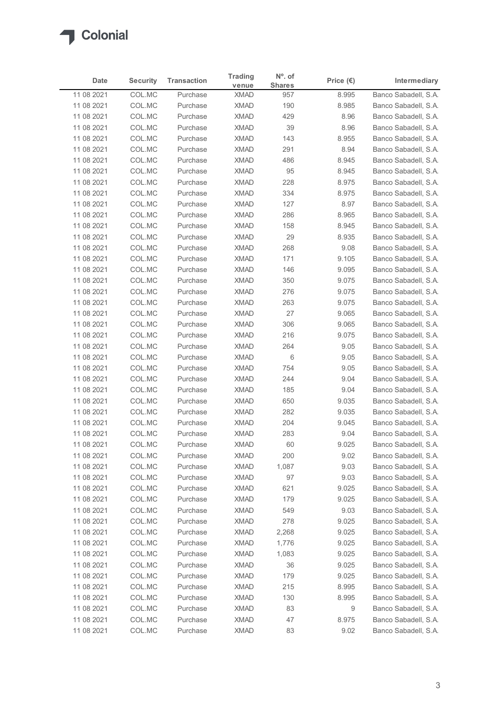

| Date                     | <b>Security</b>  | <b>Transaction</b>   | <b>Trading</b>             | N°. of               | Price $(\epsilon)$ | Intermediary                                 |
|--------------------------|------------------|----------------------|----------------------------|----------------------|--------------------|----------------------------------------------|
| 11 08 2021               | COL.MC           | Purchase             | venue<br><b>XMAD</b>       | <b>Shares</b><br>957 | 8.995              | Banco Sabadell, S.A.                         |
| 11 08 2021               | COL.MC           | Purchase             | <b>XMAD</b>                | 190                  | 8.985              | Banco Sabadell, S.A.                         |
| 11 08 2021               | COL.MC           | Purchase             | <b>XMAD</b>                | 429                  | 8.96               | Banco Sabadell, S.A.                         |
| 11 08 2021               | COL.MC           | Purchase             | <b>XMAD</b>                | 39                   | 8.96               | Banco Sabadell, S.A.                         |
| 11 08 2021               | COL.MC           | Purchase             | <b>XMAD</b>                | 143                  | 8.955              | Banco Sabadell, S.A.                         |
| 11 08 2021               | COL.MC           | Purchase             | <b>XMAD</b>                | 291                  | 8.94               | Banco Sabadell, S.A.                         |
| 11 08 2021<br>11 08 2021 | COL.MC<br>COL.MC | Purchase<br>Purchase | <b>XMAD</b><br><b>XMAD</b> | 486<br>95            | 8.945<br>8.945     | Banco Sabadell, S.A.<br>Banco Sabadell, S.A. |
| 11 08 2021               | COL.MC           | Purchase             | <b>XMAD</b>                | 228                  | 8.975              | Banco Sabadell, S.A.                         |
| 11 08 2021               | COL.MC           | Purchase             | <b>XMAD</b>                | 334                  | 8.975              | Banco Sabadell, S.A.                         |
| 11 08 2021               | COL.MC           | Purchase             | <b>XMAD</b>                | 127                  | 8.97               | Banco Sabadell, S.A.                         |
| 11 08 2021               | COL.MC           | Purchase             | <b>XMAD</b>                | 286                  | 8.965              | Banco Sabadell, S.A.                         |
| 11 08 2021               | COL.MC           | Purchase             | <b>XMAD</b>                | 158                  | 8.945              | Banco Sabadell, S.A.                         |
| 11 08 2021               | COL.MC           | Purchase             | XMAD                       | 29                   | 8.935              | Banco Sabadell, S.A.                         |
| 11 08 2021               | COL.MC           | Purchase             | <b>XMAD</b>                | 268<br>171           | 9.08<br>9.105      | Banco Sabadell, S.A.<br>Banco Sabadell, S.A. |
| 11 08 2021<br>11 08 2021 | COL.MC<br>COL.MC | Purchase<br>Purchase | <b>XMAD</b><br><b>XMAD</b> | 146                  | 9.095              | Banco Sabadell, S.A.                         |
| 11 08 2021               | COL.MC           | Purchase             | XMAD                       | 350                  | 9.075              | Banco Sabadell, S.A.                         |
| 11 08 2021               | COL.MC           | Purchase             | <b>XMAD</b>                | 276                  | 9.075              | Banco Sabadell, S.A.                         |
| 11 08 2021               | COL.MC           | Purchase             | <b>XMAD</b>                | 263                  | 9.075              | Banco Sabadell, S.A.                         |
| 11 08 2021               | COL.MC           | Purchase             | <b>XMAD</b>                | 27                   | 9.065              | Banco Sabadell, S.A.                         |
| 11 08 2021               | COL.MC           | Purchase             | XMAD                       | 306                  | 9.065              | Banco Sabadell, S.A.                         |
| 11 08 2021               | COL.MC           | Purchase             | <b>XMAD</b>                | 216                  | 9.075              | Banco Sabadell, S.A.                         |
| 11 08 2021<br>11 08 2021 | COL.MC<br>COL.MC | Purchase<br>Purchase | <b>XMAD</b><br><b>XMAD</b> | 264<br>6             | 9.05<br>9.05       | Banco Sabadell, S.A.<br>Banco Sabadell, S.A. |
| 11 08 2021               | COL.MC           | Purchase             | <b>XMAD</b>                | 754                  | 9.05               | Banco Sabadell, S.A.                         |
| 11 08 2021               | COL.MC           | Purchase             | <b>XMAD</b>                | 244                  | 9.04               | Banco Sabadell, S.A.                         |
| 11 08 2021               | COL.MC           | Purchase             | <b>XMAD</b>                | 185                  | 9.04               | Banco Sabadell, S.A.                         |
| 11 08 2021               | COL.MC           | Purchase             | <b>XMAD</b>                | 650                  | 9.035              | Banco Sabadell, S.A.                         |
| 11 08 2021               | COL.MC           | Purchase             | <b>XMAD</b>                | 282                  | 9.035              | Banco Sabadell, S.A.                         |
| 11 08 2021               | COL.MC           | Purchase             | <b>XMAD</b>                | 204                  | 9.045              | Banco Sabadell, S.A.                         |
| 11 08 2021               | COL.MC           | Purchase             | <b>XMAD</b>                | 283                  | 9.04               | Banco Sabadell, S.A.                         |
| 11 08 2021               | COL.MC           | Purchase             | <b>XMAD</b>                | 60                   | 9.025              | Banco Sabadell, S.A.                         |
| 11 08 2021<br>11 08 2021 | COL.MC<br>COL.MC | Purchase<br>Purchase | <b>XMAD</b><br><b>XMAD</b> | 200<br>1,087         | 9.02<br>9.03       | Banco Sabadell, S.A.<br>Banco Sabadell, S.A. |
| 11 08 2021               | COL.MC           | Purchase             | <b>XMAD</b>                | 97                   | 9.03               | Banco Sabadell, S.A.                         |
| 11 08 2021               | COL.MC           | Purchase             | <b>XMAD</b>                | 621                  | 9.025              | Banco Sabadell, S.A.                         |
| 11 08 2021               | COL.MC           | Purchase             | <b>XMAD</b>                | 179                  | 9.025              | Banco Sabadell, S.A.                         |
| 11 08 2021               | COL.MC           | Purchase             | <b>XMAD</b>                | 549                  | 9.03               | Banco Sabadell, S.A.                         |
| 11 08 2021               | COL.MC           | Purchase             | <b>XMAD</b>                | 278                  | 9.025              | Banco Sabadell, S.A.                         |
| 11 08 2021               | COL.MC           | Purchase             | <b>XMAD</b>                | 2,268                | 9.025              | Banco Sabadell, S.A.                         |
| 11 08 2021               | COL.MC           | Purchase             | <b>XMAD</b>                | 1,776                | 9.025              | Banco Sabadell, S.A.                         |
| 11 08 2021               | COL.MC           | Purchase             | <b>XMAD</b>                | 1,083                | 9.025              | Banco Sabadell, S.A.                         |
| 11 08 2021<br>11 08 2021 | COL.MC<br>COL.MC | Purchase<br>Purchase | <b>XMAD</b><br><b>XMAD</b> | 36<br>179            | 9.025<br>9.025     | Banco Sabadell, S.A.<br>Banco Sabadell, S.A. |
| 11 08 2021               | COL.MC           | Purchase             | <b>XMAD</b>                | 215                  | 8.995              | Banco Sabadell, S.A.                         |
| 11 08 2021               | COL.MC           | Purchase             | <b>XMAD</b>                | 130                  | 8.995              | Banco Sabadell, S.A.                         |
| 11 08 2021               | COL.MC           | Purchase             | <b>XMAD</b>                | 83                   | 9                  | Banco Sabadell, S.A.                         |
| 11 08 2021               | COL.MC           | Purchase             | <b>XMAD</b>                | 47                   | 8.975              | Banco Sabadell, S.A.                         |
|                          | COL.MC           | Purchase             | XMAD                       | 83                   | 9.02               | Banco Sabadell, S.A.                         |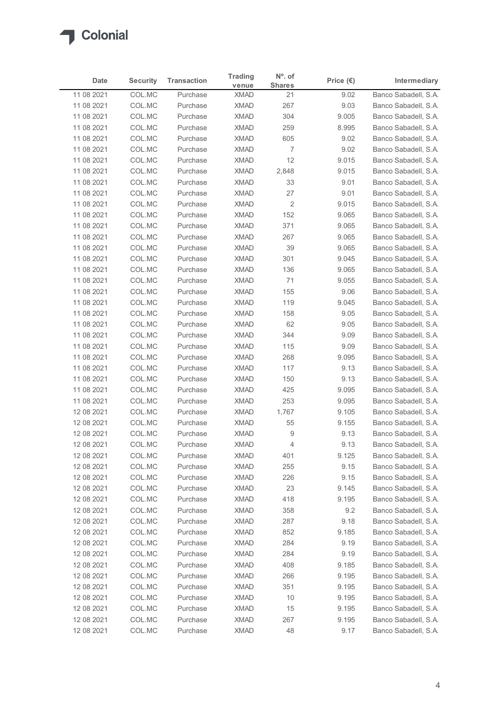

| <b>Date</b>              | <b>Security</b>  | <b>Transaction</b>   | <b>Trading</b>             | N°. of              | Price $(\epsilon)$ | Intermediary                                 |
|--------------------------|------------------|----------------------|----------------------------|---------------------|--------------------|----------------------------------------------|
| 11 08 2021               | COL.MC           | Purchase             | venue<br><b>XMAD</b>       | <b>Shares</b><br>21 | 9.02               | Banco Sabadell, S.A.                         |
| 11 08 2021               | COL.MC           | Purchase             | <b>XMAD</b>                | 267                 | 9.03               | Banco Sabadell, S.A.                         |
| 11 08 2021               | COL.MC           | Purchase             | <b>XMAD</b>                | 304                 | 9.005              | Banco Sabadell, S.A.                         |
| 11 08 2021               | COL.MC           | Purchase             | <b>XMAD</b>                | 259                 | 8.995              | Banco Sabadell, S.A.                         |
| 11 08 2021               | COL.MC           | Purchase             | <b>XMAD</b>                | 605                 | 9.02               | Banco Sabadell, S.A.                         |
| 11 08 2021               | COL.MC           | Purchase             | <b>XMAD</b>                | 7                   | 9.02               | Banco Sabadell, S.A.                         |
| 11 08 2021<br>11 08 2021 | COL.MC<br>COL.MC | Purchase<br>Purchase | <b>XMAD</b><br><b>XMAD</b> | 12<br>2,848         | 9.015<br>9.015     | Banco Sabadell, S.A.<br>Banco Sabadell, S.A. |
| 11 08 2021               | COL.MC           | Purchase             | <b>XMAD</b>                | 33                  | 9.01               | Banco Sabadell, S.A.                         |
| 11 08 2021               | COL.MC           | Purchase             | <b>XMAD</b>                | 27                  | 9.01               | Banco Sabadell, S.A.                         |
| 11 08 2021               | COL.MC           | Purchase             | <b>XMAD</b>                | $\overline{2}$      | 9.015              | Banco Sabadell, S.A.                         |
| 11 08 2021               | COL.MC           | Purchase             | <b>XMAD</b>                | 152                 | 9.065              | Banco Sabadell, S.A.                         |
| 11 08 2021               | COL.MC           | Purchase             | <b>XMAD</b>                | 371                 | 9.065              | Banco Sabadell, S.A.                         |
| 11 08 2021               | COL.MC           | Purchase             | XMAD                       | 267                 | 9.065              | Banco Sabadell, S.A.                         |
| 11 08 2021               | COL.MC           | Purchase             | <b>XMAD</b><br><b>XMAD</b> | 39                  | 9.065<br>9.045     | Banco Sabadell, S.A.                         |
| 11 08 2021<br>11 08 2021 | COL.MC<br>COL.MC | Purchase<br>Purchase | <b>XMAD</b>                | 301<br>136          | 9.065              | Banco Sabadell, S.A.<br>Banco Sabadell, S.A. |
| 11 08 2021               | COL.MC           | Purchase             | XMAD                       | 71                  | 9.055              | Banco Sabadell, S.A.                         |
| 11 08 2021               | COL.MC           | Purchase             | <b>XMAD</b>                | 155                 | 9.06               | Banco Sabadell, S.A.                         |
| 11 08 2021               | COL.MC           | Purchase             | <b>XMAD</b>                | 119                 | 9.045              | Banco Sabadell, S.A.                         |
| 11 08 2021               | COL.MC           | Purchase             | <b>XMAD</b>                | 158                 | 9.05               | Banco Sabadell, S.A.                         |
| 11 08 2021               | COL.MC           | Purchase             | XMAD                       | 62                  | 9.05               | Banco Sabadell, S.A.                         |
| 11 08 2021               | COL.MC           | Purchase             | <b>XMAD</b>                | 344                 | 9.09               | Banco Sabadell, S.A.                         |
| 11 08 2021               | COL.MC           | Purchase             | <b>XMAD</b>                | 115                 | 9.09               | Banco Sabadell, S.A.                         |
| 11 08 2021               | COL.MC           | Purchase<br>Purchase | XMAD                       | 268<br>117          | 9.095              | Banco Sabadell, S.A.<br>Banco Sabadell, S.A. |
| 11 08 2021<br>11 08 2021 | COL.MC<br>COL.MC | Purchase             | <b>XMAD</b><br><b>XMAD</b> | 150                 | 9.13<br>9.13       | Banco Sabadell, S.A.                         |
| 11 08 2021               | COL.MC           | Purchase             | <b>XMAD</b>                | 425                 | 9.095              | Banco Sabadell, S.A.                         |
| 11 08 2021               | COL.MC           | Purchase             | <b>XMAD</b>                | 253                 | 9.095              | Banco Sabadell, S.A.                         |
| 12 08 2021               | COL.MC           | Purchase             | XMAD                       | 1,767               | 9.105              | Banco Sabadell, S.A.                         |
| 12 08 2021               | COL.MC           | Purchase             | <b>XMAD</b>                | 55                  | 9.155              | Banco Sabadell, S.A.                         |
| 12 08 2021               | COL.MC           | Purchase             | <b>XMAD</b>                | 9                   | 9.13               | Banco Sabadell, S.A.                         |
| 12 08 2021               | COL.MC           | Purchase             | <b>XMAD</b>                | 4                   | 9.13               | Banco Sabadell, S.A.                         |
| 12 08 2021               | COL.MC           | Purchase             | <b>XMAD</b>                | 401                 | 9.125              | Banco Sabadell, S.A.                         |
| 12 08 2021               | COL.MC           | Purchase             | <b>XMAD</b>                | 255                 | 9.15               | Banco Sabadell, S.A.                         |
| 12 08 2021<br>12 08 2021 | COL.MC<br>COL.MC | Purchase<br>Purchase | <b>XMAD</b><br><b>XMAD</b> | 226<br>23           | 9.15<br>9.145      | Banco Sabadell, S.A.<br>Banco Sabadell, S.A. |
| 12 08 2021               | COL.MC           | Purchase             | <b>XMAD</b>                | 418                 | 9.195              | Banco Sabadell, S.A.                         |
| 12 08 2021               | COL.MC           | Purchase             | <b>XMAD</b>                | 358                 | 9.2                | Banco Sabadell, S.A.                         |
| 12 08 2021               | COL.MC           | Purchase             | <b>XMAD</b>                | 287                 | 9.18               | Banco Sabadell, S.A.                         |
| 12 08 2021               | COL.MC           | Purchase             | <b>XMAD</b>                | 852                 | 9.185              | Banco Sabadell, S.A.                         |
| 12 08 2021               | COL.MC           | Purchase             | <b>XMAD</b>                | 284                 | 9.19               | Banco Sabadell, S.A.                         |
| 12 08 2021               | COL.MC           | Purchase             | <b>XMAD</b>                | 284                 | 9.19               | Banco Sabadell, S.A.                         |
| 12 08 2021               | COL.MC           | Purchase             | <b>XMAD</b>                | 408                 | 9.185              | Banco Sabadell, S.A.                         |
| 12 08 2021               | COL.MC           | Purchase             | <b>XMAD</b>                | 266                 | 9.195              | Banco Sabadell, S.A.                         |
| 12 08 2021               | COL.MC           | Purchase<br>Purchase | <b>XMAD</b><br><b>XMAD</b> | 351<br>10           | 9.195<br>9.195     | Banco Sabadell, S.A.<br>Banco Sabadell, S.A. |
| 12 08 2021<br>12 08 2021 | COL.MC<br>COL.MC | Purchase             | <b>XMAD</b>                | 15                  | 9.195              | Banco Sabadell, S.A.                         |
|                          | COL.MC           | Purchase             | <b>XMAD</b>                | 267                 | 9.195              | Banco Sabadell, S.A.                         |
| 12 08 2021               |                  |                      |                            | 48                  | 9.17               | Banco Sabadell, S.A.                         |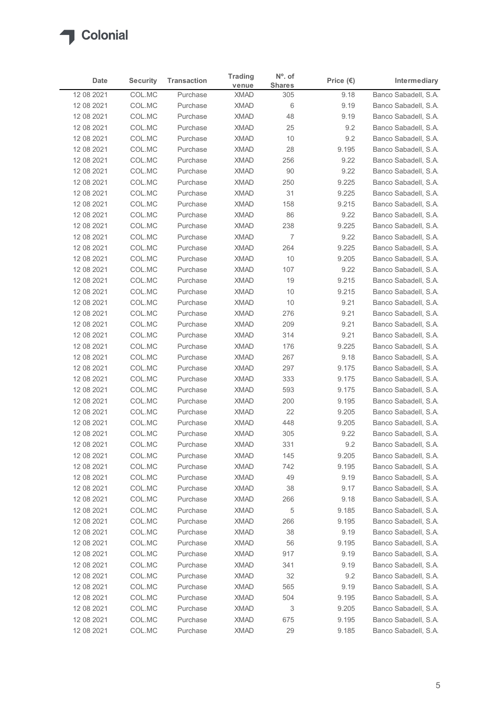

| <b>Date</b>              | <b>Security</b>  | <b>Transaction</b>   | <b>Trading</b><br>venue    | N°. of<br><b>Shares</b> | Price $(\epsilon)$ | Intermediary                                 |
|--------------------------|------------------|----------------------|----------------------------|-------------------------|--------------------|----------------------------------------------|
| 12 08 2021               | COL.MC           | Purchase             | <b>XMAD</b>                | 305                     | 9.18               | Banco Sabadell, S.A.                         |
| 12 08 2021               | COL.MC           | Purchase             | <b>XMAD</b>                | 6                       | 9.19               | Banco Sabadell, S.A.                         |
| 12 08 2021               | COL.MC           | Purchase             | <b>XMAD</b>                | 48                      | 9.19               | Banco Sabadell, S.A.                         |
| 12 08 2021               | COL.MC           | Purchase             | <b>XMAD</b>                | 25                      | 9.2                | Banco Sabadell, S.A.                         |
| 12 08 2021               | COL.MC           | Purchase             | <b>XMAD</b>                | 10                      | 9.2                | Banco Sabadell, S.A.                         |
| 12 08 2021               | COL.MC           | Purchase             | <b>XMAD</b>                | 28                      | 9.195              | Banco Sabadell, S.A.                         |
| 12 08 2021<br>12 08 2021 | COL.MC<br>COL.MC | Purchase<br>Purchase | <b>XMAD</b><br><b>XMAD</b> | 256<br>90               | 9.22<br>9.22       | Banco Sabadell, S.A.<br>Banco Sabadell, S.A. |
| 12 08 2021               | COL.MC           | Purchase             | <b>XMAD</b>                | 250                     | 9.225              | Banco Sabadell, S.A.                         |
| 12 08 2021               | COL.MC           | Purchase             | <b>XMAD</b>                | 31                      | 9.225              | Banco Sabadell, S.A.                         |
| 12 08 2021               | COL.MC           | Purchase             | <b>XMAD</b>                | 158                     | 9.215              | Banco Sabadell, S.A.                         |
| 12 08 2021               | COL.MC           | Purchase             | <b>XMAD</b>                | 86                      | 9.22               | Banco Sabadell, S.A.                         |
| 12 08 2021               | COL.MC           | Purchase             | <b>XMAD</b>                | 238                     | 9.225              | Banco Sabadell, S.A.                         |
| 12 08 2021               | COL.MC           | Purchase             | XMAD                       | $\overline{7}$          | 9.22               | Banco Sabadell, S.A.                         |
| 12 08 2021               | COL.MC           | Purchase             | XMAD                       | 264                     | 9.225              | Banco Sabadell, S.A.                         |
| 12 08 2021               | COL.MC           | Purchase             | XMAD                       | 10                      | 9.205              | Banco Sabadell, S.A.                         |
| 12 08 2021               | COL.MC           | Purchase             | <b>XMAD</b>                | 107                     | 9.22               | Banco Sabadell, S.A.                         |
| 12 08 2021               | COL.MC           | Purchase             | <b>XMAD</b>                | 19                      | 9.215              | Banco Sabadell, S.A.                         |
| 12 08 2021               | COL.MC           | Purchase             | <b>XMAD</b>                | 10                      | 9.215              | Banco Sabadell, S.A.                         |
| 12 08 2021               | COL.MC           | Purchase             | <b>XMAD</b>                | 10                      | 9.21               | Banco Sabadell, S.A.                         |
| 12 08 2021               | COL.MC           | Purchase             | <b>XMAD</b>                | 276                     | 9.21               | Banco Sabadell, S.A.                         |
| 12 08 2021               | COL.MC           | Purchase             | XMAD                       | 209                     | 9.21               | Banco Sabadell, S.A.                         |
| 12 08 2021               | COL.MC           | Purchase             | XMAD                       | 314                     | 9.21               | Banco Sabadell, S.A.                         |
| 12 08 2021               | COL.MC           | Purchase             | XMAD                       | 176                     | 9.225              | Banco Sabadell, S.A.                         |
| 12 08 2021               | COL.MC           | Purchase             | <b>XMAD</b>                | 267                     | 9.18               | Banco Sabadell, S.A.                         |
| 12 08 2021               | COL.MC           | Purchase             | <b>XMAD</b>                | 297                     | 9.175              | Banco Sabadell, S.A.                         |
| 12 08 2021               | COL.MC           | Purchase             | XMAD                       | 333                     | 9.175              | Banco Sabadell, S.A.                         |
| 12 08 2021               | COL.MC           | Purchase             | XMAD                       | 593                     | 9.175              | Banco Sabadell, S.A.                         |
| 12 08 2021<br>12 08 2021 | COL.MC<br>COL.MC | Purchase<br>Purchase | <b>XMAD</b><br><b>XMAD</b> | 200<br>22               | 9.195<br>9.205     | Banco Sabadell, S.A.<br>Banco Sabadell, S.A. |
| 12 08 2021               | COL.MC           | Purchase             | <b>XMAD</b>                | 448                     | 9.205              | Banco Sabadell, S.A.                         |
| 12 08 2021               | COL.MC           | Purchase             | <b>XMAD</b>                | 305                     | 9.22               | Banco Sabadell, S.A.                         |
| 12 08 2021               | COL.MC           | Purchase             | XMAD                       | 331                     | 9.2                | Banco Sabadell, S.A.                         |
| 12 08 2021               | COL.MC           | Purchase             | <b>XMAD</b>                | 145                     | 9.205              | Banco Sabadell, S.A.                         |
| 12 08 2021               | COL.MC           | Purchase             | XMAD                       | 742                     | 9.195              | Banco Sabadell, S.A.                         |
| 12 08 2021               | COL.MC           | Purchase             | <b>XMAD</b>                | 49                      | 9.19               | Banco Sabadell, S.A.                         |
| 12 08 2021               | COL.MC           | Purchase             | <b>XMAD</b>                | 38                      | 9.17               | Banco Sabadell, S.A.                         |
| 12 08 2021               | COL.MC           | Purchase             | <b>XMAD</b>                | 266                     | 9.18               | Banco Sabadell, S.A.                         |
| 12 08 2021               | COL.MC           | Purchase             | XMAD                       | 5                       | 9.185              | Banco Sabadell, S.A.                         |
| 12 08 2021               | COL.MC           | Purchase             | <b>XMAD</b>                | 266                     | 9.195              | Banco Sabadell, S.A.                         |
| 12 08 2021               | COL.MC           | Purchase             | <b>XMAD</b>                | 38                      | 9.19               | Banco Sabadell, S.A.                         |
| 12 08 2021               | COL.MC           | Purchase             | <b>XMAD</b>                | 56                      | 9.195              | Banco Sabadell, S.A.                         |
| 12 08 2021               | COL.MC           | Purchase             | <b>XMAD</b>                | 917                     | 9.19               | Banco Sabadell, S.A.                         |
| 12 08 2021               | COL.MC           | Purchase             | <b>XMAD</b>                | 341                     | 9.19               | Banco Sabadell, S.A.                         |
| 12 08 2021               | COL.MC           | Purchase             | XMAD                       | 32                      | 9.2                | Banco Sabadell, S.A.                         |
| 12 08 2021               | COL.MC           | Purchase             | XMAD                       | 565                     | 9.19               | Banco Sabadell, S.A.                         |
| 12 08 2021               | COL.MC           | Purchase             | <b>XMAD</b>                | 504                     | 9.195              | Banco Sabadell, S.A.                         |
| 12 08 2021               | COL.MC           | Purchase             | <b>XMAD</b>                | 3                       | 9.205              | Banco Sabadell, S.A.                         |
| 12 08 2021               | COL.MC           | Purchase             | <b>XMAD</b><br><b>XMAD</b> | 675                     | 9.195              | Banco Sabadell, S.A.                         |
| 12 08 2021               | COL.MC           | Purchase             |                            | 29                      | 9.185              | Banco Sabadell, S.A.                         |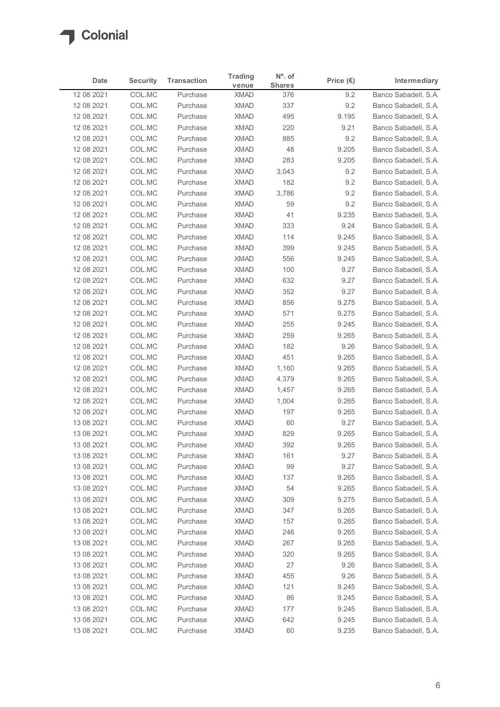

| <b>Date</b><br><b>Security</b><br><b>Transaction</b><br>Price $(\epsilon)$<br>Intermediary<br><b>Shares</b><br>venue<br>Banco Sabadell, S.A.<br>COL.MC<br>Purchase<br><b>XMAD</b><br>9.2<br>376<br>COL.MC<br><b>XMAD</b><br>337<br>9.2<br>Banco Sabadell, S.A.<br>Purchase<br>COL.MC<br><b>XMAD</b><br>495<br>12 08 2021<br>Purchase<br>9.195<br>COL.MC<br><b>XMAD</b><br>220<br>12 08 2021<br>Purchase<br>9.21<br>Banco Sabadell, S.A.<br>COL.MC<br><b>XMAD</b><br>885<br>Banco Sabadell, S.A.<br>12 08 2021<br>Purchase<br>9.2<br>COL.MC<br><b>XMAD</b><br>48<br>9.205<br>12 08 2021<br>Purchase<br>COL.MC<br><b>XMAD</b><br>9.205<br>Banco Sabadell, S.A.<br>12 08 2021<br>Purchase<br>283<br>COL.MC<br>Banco Sabadell, S.A.<br>Purchase<br><b>XMAD</b><br>3,043<br>9.2<br>COL.MC<br>182<br>Banco Sabadell, S.A.<br><b>XMAD</b><br>9.2<br>Purchase<br>COL.MC<br><b>XMAD</b><br>9.2<br>Banco Sabadell, S.A.<br>Purchase<br>3,786<br>COL.MC<br><b>XMAD</b><br>59<br>Banco Sabadell, S.A.<br>Purchase<br>9.2<br>COL.MC<br><b>XMAD</b><br>9.235<br>Banco Sabadell, S.A.<br>Purchase<br>41<br><b>XMAD</b><br>333<br>9.24<br>COL.MC<br>Purchase<br>Banco Sabadell, S.A.<br>COL.MC<br>XMAD<br>114<br>9.245<br>Purchase<br>9.245<br>COL.MC<br>Purchase<br>XMAD<br>399<br>COL.MC<br>XMAD<br>9.245<br>Purchase<br>556<br>COL.MC<br>XMAD<br>9.27<br>Purchase<br>100<br>COL.MC<br><b>XMAD</b><br>9.27<br>Purchase<br>632<br>COL.MC<br><b>XMAD</b><br>352<br>9.27<br>Purchase<br>856<br>12 08 2021<br>COL.MC<br>Purchase<br><b>XMAD</b><br>9.275<br>571<br>9.275<br>12 08 2021<br>COL.MC<br>Purchase<br>XMAD<br>COL.MC<br>XMAD<br>255<br>9.245<br>12 08 2021<br>Purchase<br>COL.MC<br>XMAD<br>259<br>9.265<br>12 08 2021<br>Purchase<br>XMAD<br>9.26<br>12 08 2021<br>COL.MC<br>Purchase<br>182<br>COL.MC<br><b>XMAD</b><br>451<br>12 08 2021<br>Purchase<br>9.265<br>COL.MC<br><b>XMAD</b><br>9.265<br>12 08 2021<br>Purchase<br>1,160<br>COL.MC<br><b>XMAD</b><br>9.265<br>12 08 2021<br>Purchase<br>4,379<br>COL.MC<br>XMAD<br>9.265<br>12 08 2021<br>Purchase<br>1,457<br><b>XMAD</b><br>9.265<br>12 08 2021<br>COL.MC<br>Purchase<br>1,004<br>COL.MC<br><b>XMAD</b><br>9.265<br>12 08 2021<br>Purchase<br>197<br>COL.MC<br><b>XMAD</b><br>60<br>9.27<br>13 08 2021<br>Purchase<br><b>XMAD</b><br>829<br>13 08 2021<br>COL.MC<br>Purchase<br>9.265<br><b>XMAD</b><br>392<br>9.265<br>13 08 2021<br>COL.MC<br>Purchase<br>COL.MC<br>XMAD<br>161<br>9.27<br>Purchase<br>COL.MC<br><b>XMAD</b><br>99<br>9.27<br>Purchase<br><b>XMAD</b><br>COL.MC<br>Purchase<br>137<br>9.265<br>COL.MC<br><b>XMAD</b><br>9.265<br>Purchase<br>54<br>COL.MC<br>309<br>9.275<br><b>XMAD</b><br>Purchase<br>XMAD<br>347<br>9.265<br>COL.MC<br>Purchase<br><b>XMAD</b><br>9.265<br>COL.MC<br>Purchase<br>157<br>COL.MC<br><b>XMAD</b><br>9.265<br>Purchase<br>246<br>COL.MC<br><b>XMAD</b><br>9.265<br>Purchase<br>267<br>COL.MC<br>Purchase<br><b>XMAD</b><br>320<br>9.265<br>27<br>9.26<br>COL.MC<br>Purchase<br>XMAD<br>COL.MC<br>XMAD<br>455<br>9.26<br>Purchase<br>COL.MC<br><b>XMAD</b><br>9.245<br>Purchase<br>121<br>XMAD<br>COL.MC<br>Purchase<br>86<br>9.245<br>COL.MC<br><b>XMAD</b><br>9.245<br>13 08 2021<br>Purchase<br>177<br>COL.MC<br>13 08 2021<br>Purchase<br><b>XMAD</b><br>642<br>9.245<br>Banco Sabadell, S.A.<br>13 08 2021<br>XMAD<br>60<br>9.235<br>Banco Sabadell, S.A. |            |        |          |                |           |  |
|-----------------------------------------------------------------------------------------------------------------------------------------------------------------------------------------------------------------------------------------------------------------------------------------------------------------------------------------------------------------------------------------------------------------------------------------------------------------------------------------------------------------------------------------------------------------------------------------------------------------------------------------------------------------------------------------------------------------------------------------------------------------------------------------------------------------------------------------------------------------------------------------------------------------------------------------------------------------------------------------------------------------------------------------------------------------------------------------------------------------------------------------------------------------------------------------------------------------------------------------------------------------------------------------------------------------------------------------------------------------------------------------------------------------------------------------------------------------------------------------------------------------------------------------------------------------------------------------------------------------------------------------------------------------------------------------------------------------------------------------------------------------------------------------------------------------------------------------------------------------------------------------------------------------------------------------------------------------------------------------------------------------------------------------------------------------------------------------------------------------------------------------------------------------------------------------------------------------------------------------------------------------------------------------------------------------------------------------------------------------------------------------------------------------------------------------------------------------------------------------------------------------------------------------------------------------------------------------------------------------------------------------------------------------------------------------------------------------------------------------------------------------------------------------------------------------------------------------------------------------------------------------------------------------------------------------------------------------------------------------------------------------------------------------------------------------------------------------------------------------------------------------------------------------------------------------------------------------------------------------------------------------------------------------------------------------------------------------------------------------------|------------|--------|----------|----------------|-----------|--|
| Banco Sabadell, S.A.<br>Banco Sabadell, S.A.<br>Banco Sabadell, S.A.<br>Banco Sabadell, S.A.<br>Banco Sabadell, S.A.<br>Banco Sabadell, S.A.<br>Banco Sabadell, S.A.<br>Banco Sabadell, S.A.<br>Banco Sabadell, S.A.<br>Banco Sabadell, S.A.<br>Banco Sabadell, S.A.<br>Banco Sabadell, S.A.<br>Banco Sabadell, S.A.<br>Banco Sabadell, S.A.<br>Banco Sabadell, S.A.<br>Banco Sabadell, S.A.<br>Banco Sabadell, S.A.<br>Banco Sabadell, S.A.<br>Banco Sabadell, S.A.<br>Banco Sabadell, S.A.<br>Banco Sabadell, S.A.<br>Banco Sabadell, S.A.<br>Banco Sabadell, S.A.<br>Banco Sabadell, S.A.<br>Banco Sabadell, S.A.<br>Banco Sabadell, S.A.<br>Banco Sabadell, S.A.<br>Banco Sabadell, S.A.<br>Banco Sabadell, S.A.<br>Banco Sabadell, S.A.<br>Banco Sabadell, S.A.<br>Banco Sabadell, S.A.<br>Banco Sabadell, S.A.<br>Banco Sabadell, S.A.<br>Banco Sabadell, S.A.<br>Banco Sabadell, S.A.<br>Banco Sabadell, S.A.                                                                                                                                                                                                                                                                                                                                                                                                                                                                                                                                                                                                                                                                                                                                                                                                                                                                                                                                                                                                                                                                                                                                                                                                                                                                                                                                                                                                                                                                                                                                                                                                                                                                                                                                                                                                                                                                                                                                                                                                                                                                                                                                                                                                                                                                                                                                                                                                                                                  |            |        |          | <b>Trading</b> | $No$ . of |  |
|                                                                                                                                                                                                                                                                                                                                                                                                                                                                                                                                                                                                                                                                                                                                                                                                                                                                                                                                                                                                                                                                                                                                                                                                                                                                                                                                                                                                                                                                                                                                                                                                                                                                                                                                                                                                                                                                                                                                                                                                                                                                                                                                                                                                                                                                                                                                                                                                                                                                                                                                                                                                                                                                                                                                                                                                                                                                                                                                                                                                                                                                                                                                                                                                                                                                                                                                                                       | 12 08 2021 |        |          |                |           |  |
|                                                                                                                                                                                                                                                                                                                                                                                                                                                                                                                                                                                                                                                                                                                                                                                                                                                                                                                                                                                                                                                                                                                                                                                                                                                                                                                                                                                                                                                                                                                                                                                                                                                                                                                                                                                                                                                                                                                                                                                                                                                                                                                                                                                                                                                                                                                                                                                                                                                                                                                                                                                                                                                                                                                                                                                                                                                                                                                                                                                                                                                                                                                                                                                                                                                                                                                                                                       | 12 08 2021 |        |          |                |           |  |
|                                                                                                                                                                                                                                                                                                                                                                                                                                                                                                                                                                                                                                                                                                                                                                                                                                                                                                                                                                                                                                                                                                                                                                                                                                                                                                                                                                                                                                                                                                                                                                                                                                                                                                                                                                                                                                                                                                                                                                                                                                                                                                                                                                                                                                                                                                                                                                                                                                                                                                                                                                                                                                                                                                                                                                                                                                                                                                                                                                                                                                                                                                                                                                                                                                                                                                                                                                       |            |        |          |                |           |  |
|                                                                                                                                                                                                                                                                                                                                                                                                                                                                                                                                                                                                                                                                                                                                                                                                                                                                                                                                                                                                                                                                                                                                                                                                                                                                                                                                                                                                                                                                                                                                                                                                                                                                                                                                                                                                                                                                                                                                                                                                                                                                                                                                                                                                                                                                                                                                                                                                                                                                                                                                                                                                                                                                                                                                                                                                                                                                                                                                                                                                                                                                                                                                                                                                                                                                                                                                                                       |            |        |          |                |           |  |
|                                                                                                                                                                                                                                                                                                                                                                                                                                                                                                                                                                                                                                                                                                                                                                                                                                                                                                                                                                                                                                                                                                                                                                                                                                                                                                                                                                                                                                                                                                                                                                                                                                                                                                                                                                                                                                                                                                                                                                                                                                                                                                                                                                                                                                                                                                                                                                                                                                                                                                                                                                                                                                                                                                                                                                                                                                                                                                                                                                                                                                                                                                                                                                                                                                                                                                                                                                       |            |        |          |                |           |  |
|                                                                                                                                                                                                                                                                                                                                                                                                                                                                                                                                                                                                                                                                                                                                                                                                                                                                                                                                                                                                                                                                                                                                                                                                                                                                                                                                                                                                                                                                                                                                                                                                                                                                                                                                                                                                                                                                                                                                                                                                                                                                                                                                                                                                                                                                                                                                                                                                                                                                                                                                                                                                                                                                                                                                                                                                                                                                                                                                                                                                                                                                                                                                                                                                                                                                                                                                                                       |            |        |          |                |           |  |
|                                                                                                                                                                                                                                                                                                                                                                                                                                                                                                                                                                                                                                                                                                                                                                                                                                                                                                                                                                                                                                                                                                                                                                                                                                                                                                                                                                                                                                                                                                                                                                                                                                                                                                                                                                                                                                                                                                                                                                                                                                                                                                                                                                                                                                                                                                                                                                                                                                                                                                                                                                                                                                                                                                                                                                                                                                                                                                                                                                                                                                                                                                                                                                                                                                                                                                                                                                       | 12 08 2021 |        |          |                |           |  |
|                                                                                                                                                                                                                                                                                                                                                                                                                                                                                                                                                                                                                                                                                                                                                                                                                                                                                                                                                                                                                                                                                                                                                                                                                                                                                                                                                                                                                                                                                                                                                                                                                                                                                                                                                                                                                                                                                                                                                                                                                                                                                                                                                                                                                                                                                                                                                                                                                                                                                                                                                                                                                                                                                                                                                                                                                                                                                                                                                                                                                                                                                                                                                                                                                                                                                                                                                                       | 12 08 2021 |        |          |                |           |  |
|                                                                                                                                                                                                                                                                                                                                                                                                                                                                                                                                                                                                                                                                                                                                                                                                                                                                                                                                                                                                                                                                                                                                                                                                                                                                                                                                                                                                                                                                                                                                                                                                                                                                                                                                                                                                                                                                                                                                                                                                                                                                                                                                                                                                                                                                                                                                                                                                                                                                                                                                                                                                                                                                                                                                                                                                                                                                                                                                                                                                                                                                                                                                                                                                                                                                                                                                                                       | 12 08 2021 |        |          |                |           |  |
|                                                                                                                                                                                                                                                                                                                                                                                                                                                                                                                                                                                                                                                                                                                                                                                                                                                                                                                                                                                                                                                                                                                                                                                                                                                                                                                                                                                                                                                                                                                                                                                                                                                                                                                                                                                                                                                                                                                                                                                                                                                                                                                                                                                                                                                                                                                                                                                                                                                                                                                                                                                                                                                                                                                                                                                                                                                                                                                                                                                                                                                                                                                                                                                                                                                                                                                                                                       | 12 08 2021 |        |          |                |           |  |
|                                                                                                                                                                                                                                                                                                                                                                                                                                                                                                                                                                                                                                                                                                                                                                                                                                                                                                                                                                                                                                                                                                                                                                                                                                                                                                                                                                                                                                                                                                                                                                                                                                                                                                                                                                                                                                                                                                                                                                                                                                                                                                                                                                                                                                                                                                                                                                                                                                                                                                                                                                                                                                                                                                                                                                                                                                                                                                                                                                                                                                                                                                                                                                                                                                                                                                                                                                       | 12 08 2021 |        |          |                |           |  |
|                                                                                                                                                                                                                                                                                                                                                                                                                                                                                                                                                                                                                                                                                                                                                                                                                                                                                                                                                                                                                                                                                                                                                                                                                                                                                                                                                                                                                                                                                                                                                                                                                                                                                                                                                                                                                                                                                                                                                                                                                                                                                                                                                                                                                                                                                                                                                                                                                                                                                                                                                                                                                                                                                                                                                                                                                                                                                                                                                                                                                                                                                                                                                                                                                                                                                                                                                                       | 12 08 2021 |        |          |                |           |  |
|                                                                                                                                                                                                                                                                                                                                                                                                                                                                                                                                                                                                                                                                                                                                                                                                                                                                                                                                                                                                                                                                                                                                                                                                                                                                                                                                                                                                                                                                                                                                                                                                                                                                                                                                                                                                                                                                                                                                                                                                                                                                                                                                                                                                                                                                                                                                                                                                                                                                                                                                                                                                                                                                                                                                                                                                                                                                                                                                                                                                                                                                                                                                                                                                                                                                                                                                                                       | 12 08 2021 |        |          |                |           |  |
|                                                                                                                                                                                                                                                                                                                                                                                                                                                                                                                                                                                                                                                                                                                                                                                                                                                                                                                                                                                                                                                                                                                                                                                                                                                                                                                                                                                                                                                                                                                                                                                                                                                                                                                                                                                                                                                                                                                                                                                                                                                                                                                                                                                                                                                                                                                                                                                                                                                                                                                                                                                                                                                                                                                                                                                                                                                                                                                                                                                                                                                                                                                                                                                                                                                                                                                                                                       | 12 08 2021 |        |          |                |           |  |
|                                                                                                                                                                                                                                                                                                                                                                                                                                                                                                                                                                                                                                                                                                                                                                                                                                                                                                                                                                                                                                                                                                                                                                                                                                                                                                                                                                                                                                                                                                                                                                                                                                                                                                                                                                                                                                                                                                                                                                                                                                                                                                                                                                                                                                                                                                                                                                                                                                                                                                                                                                                                                                                                                                                                                                                                                                                                                                                                                                                                                                                                                                                                                                                                                                                                                                                                                                       | 12 08 2021 |        |          |                |           |  |
|                                                                                                                                                                                                                                                                                                                                                                                                                                                                                                                                                                                                                                                                                                                                                                                                                                                                                                                                                                                                                                                                                                                                                                                                                                                                                                                                                                                                                                                                                                                                                                                                                                                                                                                                                                                                                                                                                                                                                                                                                                                                                                                                                                                                                                                                                                                                                                                                                                                                                                                                                                                                                                                                                                                                                                                                                                                                                                                                                                                                                                                                                                                                                                                                                                                                                                                                                                       | 12 08 2021 |        |          |                |           |  |
|                                                                                                                                                                                                                                                                                                                                                                                                                                                                                                                                                                                                                                                                                                                                                                                                                                                                                                                                                                                                                                                                                                                                                                                                                                                                                                                                                                                                                                                                                                                                                                                                                                                                                                                                                                                                                                                                                                                                                                                                                                                                                                                                                                                                                                                                                                                                                                                                                                                                                                                                                                                                                                                                                                                                                                                                                                                                                                                                                                                                                                                                                                                                                                                                                                                                                                                                                                       | 12 08 2021 |        |          |                |           |  |
|                                                                                                                                                                                                                                                                                                                                                                                                                                                                                                                                                                                                                                                                                                                                                                                                                                                                                                                                                                                                                                                                                                                                                                                                                                                                                                                                                                                                                                                                                                                                                                                                                                                                                                                                                                                                                                                                                                                                                                                                                                                                                                                                                                                                                                                                                                                                                                                                                                                                                                                                                                                                                                                                                                                                                                                                                                                                                                                                                                                                                                                                                                                                                                                                                                                                                                                                                                       | 12 08 2021 |        |          |                |           |  |
|                                                                                                                                                                                                                                                                                                                                                                                                                                                                                                                                                                                                                                                                                                                                                                                                                                                                                                                                                                                                                                                                                                                                                                                                                                                                                                                                                                                                                                                                                                                                                                                                                                                                                                                                                                                                                                                                                                                                                                                                                                                                                                                                                                                                                                                                                                                                                                                                                                                                                                                                                                                                                                                                                                                                                                                                                                                                                                                                                                                                                                                                                                                                                                                                                                                                                                                                                                       |            |        |          |                |           |  |
|                                                                                                                                                                                                                                                                                                                                                                                                                                                                                                                                                                                                                                                                                                                                                                                                                                                                                                                                                                                                                                                                                                                                                                                                                                                                                                                                                                                                                                                                                                                                                                                                                                                                                                                                                                                                                                                                                                                                                                                                                                                                                                                                                                                                                                                                                                                                                                                                                                                                                                                                                                                                                                                                                                                                                                                                                                                                                                                                                                                                                                                                                                                                                                                                                                                                                                                                                                       |            |        |          |                |           |  |
|                                                                                                                                                                                                                                                                                                                                                                                                                                                                                                                                                                                                                                                                                                                                                                                                                                                                                                                                                                                                                                                                                                                                                                                                                                                                                                                                                                                                                                                                                                                                                                                                                                                                                                                                                                                                                                                                                                                                                                                                                                                                                                                                                                                                                                                                                                                                                                                                                                                                                                                                                                                                                                                                                                                                                                                                                                                                                                                                                                                                                                                                                                                                                                                                                                                                                                                                                                       |            |        |          |                |           |  |
|                                                                                                                                                                                                                                                                                                                                                                                                                                                                                                                                                                                                                                                                                                                                                                                                                                                                                                                                                                                                                                                                                                                                                                                                                                                                                                                                                                                                                                                                                                                                                                                                                                                                                                                                                                                                                                                                                                                                                                                                                                                                                                                                                                                                                                                                                                                                                                                                                                                                                                                                                                                                                                                                                                                                                                                                                                                                                                                                                                                                                                                                                                                                                                                                                                                                                                                                                                       |            |        |          |                |           |  |
|                                                                                                                                                                                                                                                                                                                                                                                                                                                                                                                                                                                                                                                                                                                                                                                                                                                                                                                                                                                                                                                                                                                                                                                                                                                                                                                                                                                                                                                                                                                                                                                                                                                                                                                                                                                                                                                                                                                                                                                                                                                                                                                                                                                                                                                                                                                                                                                                                                                                                                                                                                                                                                                                                                                                                                                                                                                                                                                                                                                                                                                                                                                                                                                                                                                                                                                                                                       |            |        |          |                |           |  |
|                                                                                                                                                                                                                                                                                                                                                                                                                                                                                                                                                                                                                                                                                                                                                                                                                                                                                                                                                                                                                                                                                                                                                                                                                                                                                                                                                                                                                                                                                                                                                                                                                                                                                                                                                                                                                                                                                                                                                                                                                                                                                                                                                                                                                                                                                                                                                                                                                                                                                                                                                                                                                                                                                                                                                                                                                                                                                                                                                                                                                                                                                                                                                                                                                                                                                                                                                                       |            |        |          |                |           |  |
|                                                                                                                                                                                                                                                                                                                                                                                                                                                                                                                                                                                                                                                                                                                                                                                                                                                                                                                                                                                                                                                                                                                                                                                                                                                                                                                                                                                                                                                                                                                                                                                                                                                                                                                                                                                                                                                                                                                                                                                                                                                                                                                                                                                                                                                                                                                                                                                                                                                                                                                                                                                                                                                                                                                                                                                                                                                                                                                                                                                                                                                                                                                                                                                                                                                                                                                                                                       |            |        |          |                |           |  |
|                                                                                                                                                                                                                                                                                                                                                                                                                                                                                                                                                                                                                                                                                                                                                                                                                                                                                                                                                                                                                                                                                                                                                                                                                                                                                                                                                                                                                                                                                                                                                                                                                                                                                                                                                                                                                                                                                                                                                                                                                                                                                                                                                                                                                                                                                                                                                                                                                                                                                                                                                                                                                                                                                                                                                                                                                                                                                                                                                                                                                                                                                                                                                                                                                                                                                                                                                                       |            |        |          |                |           |  |
|                                                                                                                                                                                                                                                                                                                                                                                                                                                                                                                                                                                                                                                                                                                                                                                                                                                                                                                                                                                                                                                                                                                                                                                                                                                                                                                                                                                                                                                                                                                                                                                                                                                                                                                                                                                                                                                                                                                                                                                                                                                                                                                                                                                                                                                                                                                                                                                                                                                                                                                                                                                                                                                                                                                                                                                                                                                                                                                                                                                                                                                                                                                                                                                                                                                                                                                                                                       |            |        |          |                |           |  |
|                                                                                                                                                                                                                                                                                                                                                                                                                                                                                                                                                                                                                                                                                                                                                                                                                                                                                                                                                                                                                                                                                                                                                                                                                                                                                                                                                                                                                                                                                                                                                                                                                                                                                                                                                                                                                                                                                                                                                                                                                                                                                                                                                                                                                                                                                                                                                                                                                                                                                                                                                                                                                                                                                                                                                                                                                                                                                                                                                                                                                                                                                                                                                                                                                                                                                                                                                                       |            |        |          |                |           |  |
|                                                                                                                                                                                                                                                                                                                                                                                                                                                                                                                                                                                                                                                                                                                                                                                                                                                                                                                                                                                                                                                                                                                                                                                                                                                                                                                                                                                                                                                                                                                                                                                                                                                                                                                                                                                                                                                                                                                                                                                                                                                                                                                                                                                                                                                                                                                                                                                                                                                                                                                                                                                                                                                                                                                                                                                                                                                                                                                                                                                                                                                                                                                                                                                                                                                                                                                                                                       |            |        |          |                |           |  |
|                                                                                                                                                                                                                                                                                                                                                                                                                                                                                                                                                                                                                                                                                                                                                                                                                                                                                                                                                                                                                                                                                                                                                                                                                                                                                                                                                                                                                                                                                                                                                                                                                                                                                                                                                                                                                                                                                                                                                                                                                                                                                                                                                                                                                                                                                                                                                                                                                                                                                                                                                                                                                                                                                                                                                                                                                                                                                                                                                                                                                                                                                                                                                                                                                                                                                                                                                                       |            |        |          |                |           |  |
|                                                                                                                                                                                                                                                                                                                                                                                                                                                                                                                                                                                                                                                                                                                                                                                                                                                                                                                                                                                                                                                                                                                                                                                                                                                                                                                                                                                                                                                                                                                                                                                                                                                                                                                                                                                                                                                                                                                                                                                                                                                                                                                                                                                                                                                                                                                                                                                                                                                                                                                                                                                                                                                                                                                                                                                                                                                                                                                                                                                                                                                                                                                                                                                                                                                                                                                                                                       |            |        |          |                |           |  |
|                                                                                                                                                                                                                                                                                                                                                                                                                                                                                                                                                                                                                                                                                                                                                                                                                                                                                                                                                                                                                                                                                                                                                                                                                                                                                                                                                                                                                                                                                                                                                                                                                                                                                                                                                                                                                                                                                                                                                                                                                                                                                                                                                                                                                                                                                                                                                                                                                                                                                                                                                                                                                                                                                                                                                                                                                                                                                                                                                                                                                                                                                                                                                                                                                                                                                                                                                                       | 13 08 2021 |        |          |                |           |  |
|                                                                                                                                                                                                                                                                                                                                                                                                                                                                                                                                                                                                                                                                                                                                                                                                                                                                                                                                                                                                                                                                                                                                                                                                                                                                                                                                                                                                                                                                                                                                                                                                                                                                                                                                                                                                                                                                                                                                                                                                                                                                                                                                                                                                                                                                                                                                                                                                                                                                                                                                                                                                                                                                                                                                                                                                                                                                                                                                                                                                                                                                                                                                                                                                                                                                                                                                                                       | 13 08 2021 |        |          |                |           |  |
|                                                                                                                                                                                                                                                                                                                                                                                                                                                                                                                                                                                                                                                                                                                                                                                                                                                                                                                                                                                                                                                                                                                                                                                                                                                                                                                                                                                                                                                                                                                                                                                                                                                                                                                                                                                                                                                                                                                                                                                                                                                                                                                                                                                                                                                                                                                                                                                                                                                                                                                                                                                                                                                                                                                                                                                                                                                                                                                                                                                                                                                                                                                                                                                                                                                                                                                                                                       | 13 08 2021 |        |          |                |           |  |
|                                                                                                                                                                                                                                                                                                                                                                                                                                                                                                                                                                                                                                                                                                                                                                                                                                                                                                                                                                                                                                                                                                                                                                                                                                                                                                                                                                                                                                                                                                                                                                                                                                                                                                                                                                                                                                                                                                                                                                                                                                                                                                                                                                                                                                                                                                                                                                                                                                                                                                                                                                                                                                                                                                                                                                                                                                                                                                                                                                                                                                                                                                                                                                                                                                                                                                                                                                       | 13 08 2021 |        |          |                |           |  |
|                                                                                                                                                                                                                                                                                                                                                                                                                                                                                                                                                                                                                                                                                                                                                                                                                                                                                                                                                                                                                                                                                                                                                                                                                                                                                                                                                                                                                                                                                                                                                                                                                                                                                                                                                                                                                                                                                                                                                                                                                                                                                                                                                                                                                                                                                                                                                                                                                                                                                                                                                                                                                                                                                                                                                                                                                                                                                                                                                                                                                                                                                                                                                                                                                                                                                                                                                                       | 13 08 2021 |        |          |                |           |  |
|                                                                                                                                                                                                                                                                                                                                                                                                                                                                                                                                                                                                                                                                                                                                                                                                                                                                                                                                                                                                                                                                                                                                                                                                                                                                                                                                                                                                                                                                                                                                                                                                                                                                                                                                                                                                                                                                                                                                                                                                                                                                                                                                                                                                                                                                                                                                                                                                                                                                                                                                                                                                                                                                                                                                                                                                                                                                                                                                                                                                                                                                                                                                                                                                                                                                                                                                                                       | 13 08 2021 |        |          |                |           |  |
|                                                                                                                                                                                                                                                                                                                                                                                                                                                                                                                                                                                                                                                                                                                                                                                                                                                                                                                                                                                                                                                                                                                                                                                                                                                                                                                                                                                                                                                                                                                                                                                                                                                                                                                                                                                                                                                                                                                                                                                                                                                                                                                                                                                                                                                                                                                                                                                                                                                                                                                                                                                                                                                                                                                                                                                                                                                                                                                                                                                                                                                                                                                                                                                                                                                                                                                                                                       | 13 08 2021 |        |          |                |           |  |
|                                                                                                                                                                                                                                                                                                                                                                                                                                                                                                                                                                                                                                                                                                                                                                                                                                                                                                                                                                                                                                                                                                                                                                                                                                                                                                                                                                                                                                                                                                                                                                                                                                                                                                                                                                                                                                                                                                                                                                                                                                                                                                                                                                                                                                                                                                                                                                                                                                                                                                                                                                                                                                                                                                                                                                                                                                                                                                                                                                                                                                                                                                                                                                                                                                                                                                                                                                       | 13 08 2021 |        |          |                |           |  |
|                                                                                                                                                                                                                                                                                                                                                                                                                                                                                                                                                                                                                                                                                                                                                                                                                                                                                                                                                                                                                                                                                                                                                                                                                                                                                                                                                                                                                                                                                                                                                                                                                                                                                                                                                                                                                                                                                                                                                                                                                                                                                                                                                                                                                                                                                                                                                                                                                                                                                                                                                                                                                                                                                                                                                                                                                                                                                                                                                                                                                                                                                                                                                                                                                                                                                                                                                                       | 13 08 2021 |        |          |                |           |  |
|                                                                                                                                                                                                                                                                                                                                                                                                                                                                                                                                                                                                                                                                                                                                                                                                                                                                                                                                                                                                                                                                                                                                                                                                                                                                                                                                                                                                                                                                                                                                                                                                                                                                                                                                                                                                                                                                                                                                                                                                                                                                                                                                                                                                                                                                                                                                                                                                                                                                                                                                                                                                                                                                                                                                                                                                                                                                                                                                                                                                                                                                                                                                                                                                                                                                                                                                                                       | 13 08 2021 |        |          |                |           |  |
|                                                                                                                                                                                                                                                                                                                                                                                                                                                                                                                                                                                                                                                                                                                                                                                                                                                                                                                                                                                                                                                                                                                                                                                                                                                                                                                                                                                                                                                                                                                                                                                                                                                                                                                                                                                                                                                                                                                                                                                                                                                                                                                                                                                                                                                                                                                                                                                                                                                                                                                                                                                                                                                                                                                                                                                                                                                                                                                                                                                                                                                                                                                                                                                                                                                                                                                                                                       | 13 08 2021 |        |          |                |           |  |
|                                                                                                                                                                                                                                                                                                                                                                                                                                                                                                                                                                                                                                                                                                                                                                                                                                                                                                                                                                                                                                                                                                                                                                                                                                                                                                                                                                                                                                                                                                                                                                                                                                                                                                                                                                                                                                                                                                                                                                                                                                                                                                                                                                                                                                                                                                                                                                                                                                                                                                                                                                                                                                                                                                                                                                                                                                                                                                                                                                                                                                                                                                                                                                                                                                                                                                                                                                       | 13 08 2021 |        |          |                |           |  |
|                                                                                                                                                                                                                                                                                                                                                                                                                                                                                                                                                                                                                                                                                                                                                                                                                                                                                                                                                                                                                                                                                                                                                                                                                                                                                                                                                                                                                                                                                                                                                                                                                                                                                                                                                                                                                                                                                                                                                                                                                                                                                                                                                                                                                                                                                                                                                                                                                                                                                                                                                                                                                                                                                                                                                                                                                                                                                                                                                                                                                                                                                                                                                                                                                                                                                                                                                                       | 13 08 2021 |        |          |                |           |  |
|                                                                                                                                                                                                                                                                                                                                                                                                                                                                                                                                                                                                                                                                                                                                                                                                                                                                                                                                                                                                                                                                                                                                                                                                                                                                                                                                                                                                                                                                                                                                                                                                                                                                                                                                                                                                                                                                                                                                                                                                                                                                                                                                                                                                                                                                                                                                                                                                                                                                                                                                                                                                                                                                                                                                                                                                                                                                                                                                                                                                                                                                                                                                                                                                                                                                                                                                                                       | 13 08 2021 |        |          |                |           |  |
|                                                                                                                                                                                                                                                                                                                                                                                                                                                                                                                                                                                                                                                                                                                                                                                                                                                                                                                                                                                                                                                                                                                                                                                                                                                                                                                                                                                                                                                                                                                                                                                                                                                                                                                                                                                                                                                                                                                                                                                                                                                                                                                                                                                                                                                                                                                                                                                                                                                                                                                                                                                                                                                                                                                                                                                                                                                                                                                                                                                                                                                                                                                                                                                                                                                                                                                                                                       |            |        |          |                |           |  |
|                                                                                                                                                                                                                                                                                                                                                                                                                                                                                                                                                                                                                                                                                                                                                                                                                                                                                                                                                                                                                                                                                                                                                                                                                                                                                                                                                                                                                                                                                                                                                                                                                                                                                                                                                                                                                                                                                                                                                                                                                                                                                                                                                                                                                                                                                                                                                                                                                                                                                                                                                                                                                                                                                                                                                                                                                                                                                                                                                                                                                                                                                                                                                                                                                                                                                                                                                                       |            | COL.MC | Purchase |                |           |  |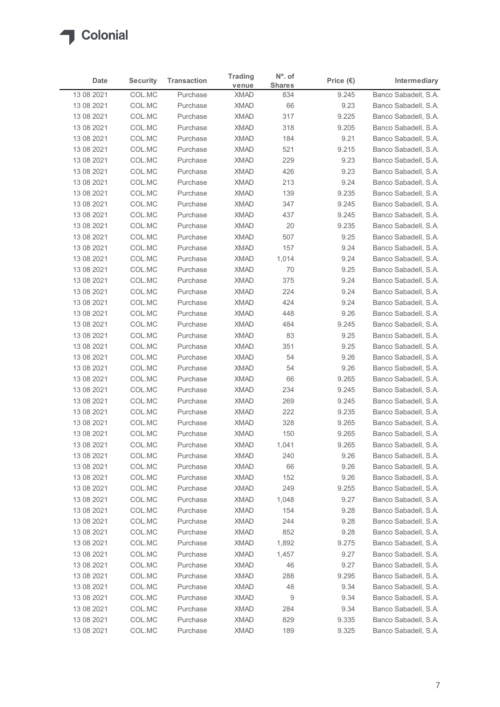

|                          |                  |                      | <b>Trading</b>             | $N^{\circ}$ . of |                    |                                              |
|--------------------------|------------------|----------------------|----------------------------|------------------|--------------------|----------------------------------------------|
| <b>Date</b>              | <b>Security</b>  | <b>Transaction</b>   | venue                      | <b>Shares</b>    | Price $(\epsilon)$ | Intermediary                                 |
| 13 08 2021<br>13 08 2021 | COL.MC<br>COL.MC | Purchase<br>Purchase | <b>XMAD</b><br><b>XMAD</b> | 834<br>66        | 9.245<br>9.23      | Banco Sabadell, S.A.<br>Banco Sabadell, S.A. |
| 13 08 2021               | COL.MC           | Purchase             | <b>XMAD</b>                | 317              | 9.225              | Banco Sabadell, S.A.                         |
| 13 08 2021               | COL.MC           | Purchase             | <b>XMAD</b>                | 318              | 9.205              | Banco Sabadell, S.A.                         |
| 13 08 2021               | COL.MC           | Purchase             | <b>XMAD</b>                | 184              | 9.21               | Banco Sabadell, S.A.                         |
| 13 08 2021               | COL.MC           | Purchase             | <b>XMAD</b>                | 521              | 9.215              | Banco Sabadell, S.A.                         |
| 13 08 2021               | COL.MC           | Purchase             | <b>XMAD</b>                | 229              | 9.23               | Banco Sabadell, S.A.                         |
| 13 08 2021<br>13 08 2021 | COL.MC<br>COL.MC | Purchase<br>Purchase | <b>XMAD</b><br><b>XMAD</b> | 426<br>213       | 9.23<br>9.24       | Banco Sabadell, S.A.<br>Banco Sabadell, S.A. |
| 13 08 2021               | COL.MC           | Purchase             | <b>XMAD</b>                | 139              | 9.235              | Banco Sabadell, S.A.                         |
| 13 08 2021               | COL.MC           | Purchase             | <b>XMAD</b>                | 347              | 9.245              | Banco Sabadell, S.A.                         |
| 13 08 2021               | COL.MC           | Purchase             | <b>XMAD</b>                | 437              | 9.245              | Banco Sabadell, S.A.                         |
| 13 08 2021               | COL.MC           | Purchase             | <b>XMAD</b>                | 20               | 9.235              | Banco Sabadell, S.A.                         |
| 13 08 2021               | COL.MC           | Purchase             | XMAD                       | 507              | 9.25               | Banco Sabadell, S.A.                         |
| 13 08 2021               | COL.MC           | Purchase             | <b>XMAD</b>                | 157              | 9.24               | Banco Sabadell, S.A.                         |
| 13 08 2021               | COL.MC           | Purchase             | <b>XMAD</b>                | 1,014            | 9.24               | Banco Sabadell, S.A.                         |
| 13 08 2021<br>13 08 2021 | COL.MC<br>COL.MC | Purchase<br>Purchase | <b>XMAD</b><br><b>XMAD</b> | 70<br>375        | 9.25<br>9.24       | Banco Sabadell, S.A.<br>Banco Sabadell, S.A. |
| 13 08 2021               | COL.MC           | Purchase             | <b>XMAD</b>                | 224              | 9.24               | Banco Sabadell, S.A.                         |
| 13 08 2021               | COL.MC           | Purchase             | <b>XMAD</b>                | 424              | 9.24               | Banco Sabadell, S.A.                         |
| 13 08 2021               | COL.MC           | Purchase             | <b>XMAD</b>                | 448              | 9.26               | Banco Sabadell, S.A.                         |
| 13 08 2021               | COL.MC           | Purchase             | XMAD                       | 484              | 9.245              | Banco Sabadell, S.A.                         |
| 13 08 2021               | COL.MC           | Purchase             | <b>XMAD</b>                | 83               | 9.25               | Banco Sabadell, S.A.                         |
| 13 08 2021               | COL.MC           | Purchase             | <b>XMAD</b>                | 351              | 9.25               | Banco Sabadell, S.A.                         |
| 13 08 2021               | COL.MC           | Purchase             | XMAD                       | 54               | 9.26               | Banco Sabadell, S.A.                         |
| 13 08 2021               | COL.MC           | Purchase             | <b>XMAD</b>                | 54               | 9.26               | Banco Sabadell, S.A.                         |
| 13 08 2021<br>13 08 2021 | COL.MC<br>COL.MC | Purchase<br>Purchase | <b>XMAD</b><br><b>XMAD</b> | 66<br>234        | 9.265<br>9.245     | Banco Sabadell, S.A.<br>Banco Sabadell, S.A. |
| 13 08 2021               | COL.MC           | Purchase             | <b>XMAD</b>                | 269              | 9.245              | Banco Sabadell, S.A.                         |
| 13 08 2021               | COL.MC           | Purchase             | <b>XMAD</b>                | 222              | 9.235              | Banco Sabadell, S.A.                         |
| 13 08 2021               | COL.MC           | Purchase             | <b>XMAD</b>                | 328              | 9.265              | Banco Sabadell, S.A.                         |
| 13 08 2021               | COL.MC           | Purchase             | <b>XMAD</b>                | 150              | 9.265              | Banco Sabadell, S.A.                         |
| 13 08 2021               | COL.MC           | Purchase             | <b>XMAD</b>                | 1,041            | 9.265              | Banco Sabadell, S.A.                         |
| 13 08 2021               | COL.MC           | Purchase             | <b>XMAD</b>                | 240              | 9.26               | Banco Sabadell, S.A.                         |
| 13 08 2021               | COL.MC           | Purchase             | <b>XMAD</b>                | 66               | 9.26               | Banco Sabadell, S.A.                         |
| 13 08 2021               | COL.MC           | Purchase<br>Purchase | <b>XMAD</b><br><b>XMAD</b> | 152<br>249       | 9.26               | Banco Sabadell, S.A.<br>Banco Sabadell, S.A. |
| 13 08 2021<br>13 08 2021 | COL.MC<br>COL.MC | Purchase             | <b>XMAD</b>                | 1,048            | 9.255<br>9.27      | Banco Sabadell, S.A.                         |
| 13 08 2021               | COL.MC           | Purchase             | <b>XMAD</b>                | 154              | 9.28               | Banco Sabadell, S.A.                         |
| 13 08 2021               | COL.MC           | Purchase             | <b>XMAD</b>                | 244              | 9.28               | Banco Sabadell, S.A.                         |
| 13 08 2021               | COL.MC           | Purchase             | <b>XMAD</b>                | 852              | 9.28               | Banco Sabadell, S.A.                         |
| 13 08 2021               | COL.MC           | Purchase             | <b>XMAD</b>                | 1,892            | 9.275              | Banco Sabadell, S.A.                         |
| 13 08 2021               | COL.MC           | Purchase             | <b>XMAD</b>                | 1,457            | 9.27               | Banco Sabadell, S.A.                         |
| 13 08 2021               | COL.MC           | Purchase             | <b>XMAD</b>                | 46               | 9.27               | Banco Sabadell, S.A.                         |
| 13 08 2021               | COL.MC           | Purchase             | <b>XMAD</b>                | 288              | 9.295              | Banco Sabadell, S.A.                         |
| 13 08 2021<br>13 08 2021 | COL.MC<br>COL.MC | Purchase<br>Purchase | <b>XMAD</b><br><b>XMAD</b> | 48<br>9          | 9.34<br>9.34       | Banco Sabadell, S.A.<br>Banco Sabadell, S.A. |
| 13 08 2021               | COL.MC           | Purchase             | <b>XMAD</b>                | 284              | 9.34               | Banco Sabadell, S.A.                         |
|                          | COL.MC           | Purchase             | <b>XMAD</b>                | 829              | 9.335              | Banco Sabadell, S.A.                         |
| 13 08 2021               |                  | Purchase             |                            | 189              | 9.325              | Banco Sabadell, S.A.                         |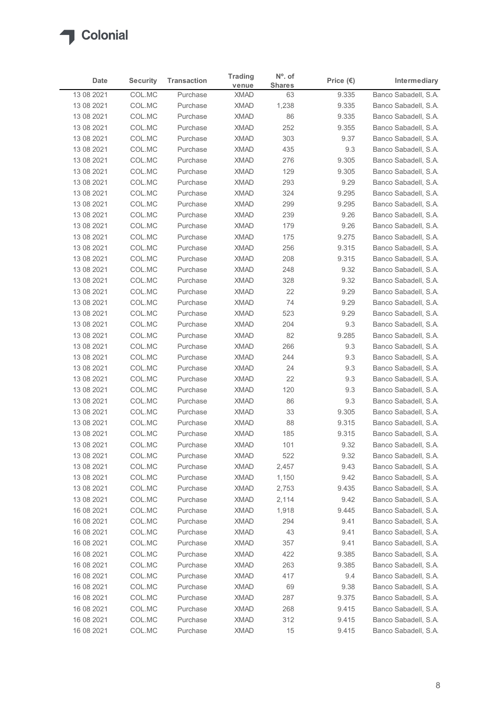

| <b>Date</b>              | <b>Security</b>  | <b>Transaction</b>   | <b>Trading</b><br>venue    | $No$ . of<br><b>Shares</b> | Price $(\epsilon)$ | Intermediary                                 |
|--------------------------|------------------|----------------------|----------------------------|----------------------------|--------------------|----------------------------------------------|
| 13 08 2021               | COL.MC           | Purchase             | <b>XMAD</b>                | 63                         | 9.335              | Banco Sabadell, S.A.                         |
| 13 08 2021               | COL.MC           | Purchase             | <b>XMAD</b>                | 1,238                      | 9.335              | Banco Sabadell, S.A.                         |
| 13 08 2021<br>13 08 2021 | COL.MC<br>COL.MC | Purchase<br>Purchase | <b>XMAD</b><br><b>XMAD</b> | 86<br>252                  | 9.335<br>9.355     | Banco Sabadell, S.A.<br>Banco Sabadell, S.A. |
| 13 08 2021               | COL.MC           | Purchase             | <b>XMAD</b>                | 303                        | 9.37               | Banco Sabadell, S.A.                         |
| 13 08 2021               | COL.MC           | Purchase             | <b>XMAD</b>                | 435                        | 9.3                | Banco Sabadell, S.A.                         |
| 13 08 2021               | COL.MC           | Purchase             | <b>XMAD</b>                | 276                        | 9.305              | Banco Sabadell, S.A.                         |
| 13 08 2021               | COL.MC           | Purchase             | <b>XMAD</b>                | 129                        | 9.305              | Banco Sabadell, S.A.                         |
| 13 08 2021               | COL.MC           | Purchase             | <b>XMAD</b>                | 293                        | 9.29               | Banco Sabadell, S.A.                         |
| 13 08 2021               | COL.MC           | Purchase             | <b>XMAD</b>                | 324                        | 9.295              | Banco Sabadell, S.A.                         |
| 13 08 2021               | COL.MC           | Purchase             | <b>XMAD</b>                | 299                        | 9.295              | Banco Sabadell, S.A.                         |
| 13 08 2021               | COL.MC           | Purchase             | <b>XMAD</b>                | 239                        | 9.26               | Banco Sabadell, S.A.                         |
| 13 08 2021<br>13 08 2021 | COL.MC<br>COL.MC | Purchase<br>Purchase | <b>XMAD</b><br>XMAD        | 179<br>175                 | 9.26<br>9.275      | Banco Sabadell, S.A.<br>Banco Sabadell, S.A. |
| 13 08 2021               | COL.MC           | Purchase             | XMAD                       | 256                        | 9.315              | Banco Sabadell, S.A.                         |
| 13 08 2021               | COL.MC           | Purchase             | XMAD                       | 208                        | 9.315              | Banco Sabadell, S.A.                         |
| 13 08 2021               | COL.MC           | Purchase             | XMAD                       | 248                        | 9.32               | Banco Sabadell, S.A.                         |
| 13 08 2021               | COL.MC           | Purchase             | <b>XMAD</b>                | 328                        | 9.32               | Banco Sabadell, S.A.                         |
| 13 08 2021               | COL.MC           | Purchase             | <b>XMAD</b>                | 22                         | 9.29               | Banco Sabadell, S.A.                         |
| 13 08 2021               | COL.MC           | Purchase             | <b>XMAD</b>                | 74                         | 9.29               | Banco Sabadell, S.A.                         |
| 13 08 2021               | COL.MC           | Purchase             | XMAD                       | 523                        | 9.29               | Banco Sabadell, S.A.                         |
| 13 08 2021               | COL.MC           | Purchase             | XMAD                       | 204                        | 9.3                | Banco Sabadell, S.A.                         |
| 13 08 2021               | COL.MC           | Purchase             | XMAD                       | 82                         | 9.285<br>9.3       | Banco Sabadell, S.A.<br>Banco Sabadell, S.A. |
| 13 08 2021<br>13 08 2021 | COL.MC<br>COL.MC | Purchase<br>Purchase | XMAD<br><b>XMAD</b>        | 266<br>244                 | 9.3                | Banco Sabadell, S.A.                         |
| 13 08 2021               | COL.MC           | Purchase             | <b>XMAD</b>                | 24                         | 9.3                | Banco Sabadell, S.A.                         |
| 13 08 2021               | COL.MC           | Purchase             | XMAD                       | 22                         | 9.3                | Banco Sabadell, S.A.                         |
| 13 08 2021               | COL.MC           | Purchase             | XMAD                       | 120                        | 9.3                | Banco Sabadell, S.A.                         |
| 13 08 2021               | COL.MC           | Purchase             | <b>XMAD</b>                | 86                         | 9.3                | Banco Sabadell, S.A.                         |
| 13 08 2021               | COL.MC           | Purchase             | <b>XMAD</b>                | 33                         | 9.305              | Banco Sabadell, S.A.                         |
| 13 08 2021               | COL.MC           | Purchase             | <b>XMAD</b>                | 88                         | 9.315              | Banco Sabadell, S.A.                         |
| 13 08 2021               | COL.MC           | Purchase             | XMAD                       | 185                        | 9.315              | Banco Sabadell, S.A.                         |
| 13 08 2021               | COL.MC           | Purchase             | XMAD                       | 101                        | 9.32               | Banco Sabadell, S.A.                         |
| 13 08 2021<br>13 08 2021 | COL.MC<br>COL.MC | Purchase<br>Purchase | XMAD<br>XMAD               | 522<br>2,457               | 9.32<br>9.43       | Banco Sabadell, S.A.<br>Banco Sabadell, S.A. |
| 13 08 2021               | COL.MC           | Purchase             | <b>XMAD</b>                | 1,150                      | 9.42               | Banco Sabadell, S.A.                         |
| 13 08 2021               | COL.MC           | Purchase             | <b>XMAD</b>                | 2,753                      | 9.435              | Banco Sabadell, S.A.                         |
| 13 08 2021               | COL.MC           | Purchase             | <b>XMAD</b>                | 2,114                      | 9.42               | Banco Sabadell, S.A.                         |
| 16 08 2021               | COL.MC           | Purchase             | XMAD                       | 1,918                      | 9.445              | Banco Sabadell, S.A.                         |
| 16 08 2021               | COL.MC           | Purchase             | <b>XMAD</b>                | 294                        | 9.41               | Banco Sabadell, S.A.                         |
| 16 08 2021               | COL.MC           | Purchase             | <b>XMAD</b>                | 43                         | 9.41               | Banco Sabadell, S.A.                         |
| 16 08 2021               | COL.MC           | Purchase             | <b>XMAD</b>                | 357                        | 9.41               | Banco Sabadell, S.A.                         |
| 16 08 2021               | COL.MC           | Purchase             | <b>XMAD</b>                | 422                        | 9.385              | Banco Sabadell, S.A.                         |
| 16 08 2021               | COL.MC           | Purchase             | XMAD                       | 263                        | 9.385              | Banco Sabadell, S.A.                         |
| 16 08 2021               | COL.MC           | Purchase             | XMAD                       | 417                        | 9.4                | Banco Sabadell, S.A.                         |
| 16 08 2021<br>16 08 2021 | COL.MC<br>COL.MC | Purchase<br>Purchase | XMAD<br>XMAD               | 69<br>287                  | 9.38<br>9.375      | Banco Sabadell, S.A.<br>Banco Sabadell, S.A. |
| 16 08 2021               | COL.MC           | Purchase             | <b>XMAD</b>                | 268                        | 9.415              | Banco Sabadell, S.A.                         |
|                          | COL.MC           | Purchase             | <b>XMAD</b>                | 312                        | 9.415              | Banco Sabadell, S.A.                         |
| 16 08 2021               |                  |                      |                            |                            |                    |                                              |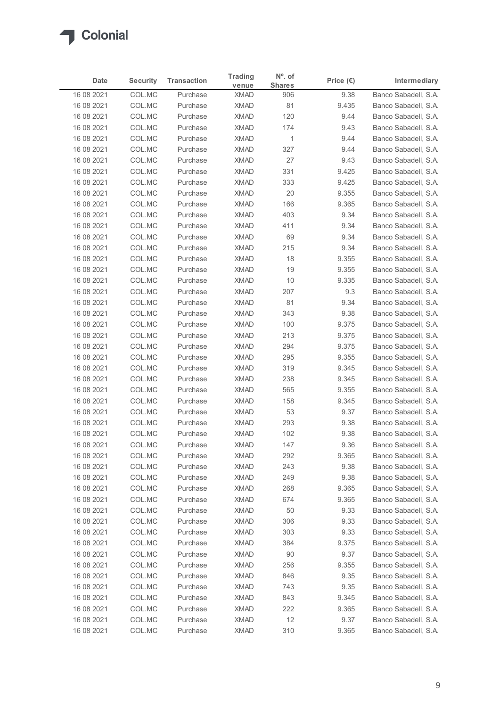

|                          |                  |                      | <b>Trading</b>             | $N^{\circ}$ . of |                    |                                              |
|--------------------------|------------------|----------------------|----------------------------|------------------|--------------------|----------------------------------------------|
| <b>Date</b>              | <b>Security</b>  | <b>Transaction</b>   | venue                      | <b>Shares</b>    | Price $(\epsilon)$ | Intermediary                                 |
| 16 08 2021<br>16 08 2021 | COL.MC<br>COL.MC | Purchase<br>Purchase | <b>XMAD</b><br><b>XMAD</b> | 906<br>81        | 9.38<br>9.435      | Banco Sabadell, S.A.<br>Banco Sabadell, S.A. |
| 16 08 2021               | COL.MC           | Purchase             | <b>XMAD</b>                | 120              | 9.44               | Banco Sabadell, S.A.                         |
| 16 08 2021               | COL.MC           | Purchase             | <b>XMAD</b>                | 174              | 9.43               | Banco Sabadell, S.A.                         |
| 16 08 2021               | COL.MC           | Purchase             | <b>XMAD</b>                | $\overline{1}$   | 9.44               | Banco Sabadell, S.A.                         |
| 16 08 2021               | COL.MC           | Purchase             | <b>XMAD</b>                | 327              | 9.44               | Banco Sabadell, S.A.                         |
| 16 08 2021               | COL.MC<br>COL.MC | Purchase<br>Purchase | <b>XMAD</b><br><b>XMAD</b> | 27               | 9.43               | Banco Sabadell, S.A.<br>Banco Sabadell, S.A. |
| 16 08 2021<br>16 08 2021 | COL.MC           | Purchase             | <b>XMAD</b>                | 331<br>333       | 9.425<br>9.425     | Banco Sabadell, S.A.                         |
| 16 08 2021               | COL.MC           | Purchase             | <b>XMAD</b>                | 20               | 9.355              | Banco Sabadell, S.A.                         |
| 16 08 2021               | COL.MC           | Purchase             | <b>XMAD</b>                | 166              | 9.365              | Banco Sabadell, S.A.                         |
| 16 08 2021               | COL.MC           | Purchase             | <b>XMAD</b>                | 403              | 9.34               | Banco Sabadell, S.A.                         |
| 16 08 2021               | COL.MC           | Purchase             | <b>XMAD</b>                | 411              | 9.34               | Banco Sabadell, S.A.                         |
| 16 08 2021               | COL.MC           | Purchase             | XMAD                       | 69               | 9.34               | Banco Sabadell, S.A.                         |
| 16 08 2021<br>16 08 2021 | COL.MC<br>COL.MC | Purchase<br>Purchase | <b>XMAD</b><br><b>XMAD</b> | 215<br>18        | 9.34<br>9.355      | Banco Sabadell, S.A.<br>Banco Sabadell, S.A. |
| 16 08 2021               | COL.MC           | Purchase             | XMAD                       | 19               | 9.355              | Banco Sabadell, S.A.                         |
| 16 08 2021               | COL.MC           | Purchase             | <b>XMAD</b>                | 10               | 9.335              | Banco Sabadell, S.A.                         |
| 16 08 2021               | COL.MC           | Purchase             | <b>XMAD</b>                | 207              | 9.3                | Banco Sabadell, S.A.                         |
| 16 08 2021               | COL.MC           | Purchase             | <b>XMAD</b>                | 81               | 9.34               | Banco Sabadell, S.A.                         |
| 16 08 2021               | COL.MC           | Purchase             | <b>XMAD</b>                | 343              | 9.38               | Banco Sabadell, S.A.                         |
| 16 08 2021               | COL.MC           | Purchase             | XMAD                       | 100              | 9.375              | Banco Sabadell, S.A.                         |
| 16 08 2021               | COL.MC           | Purchase             | <b>XMAD</b>                | 213              | 9.375              | Banco Sabadell, S.A.                         |
| 16 08 2021<br>16 08 2021 | COL.MC<br>COL.MC | Purchase<br>Purchase | XMAD<br>XMAD               | 294<br>295       | 9.375<br>9.355     | Banco Sabadell, S.A.<br>Banco Sabadell, S.A. |
| 16 08 2021               | COL.MC           | Purchase             | <b>XMAD</b>                | 319              | 9.345              | Banco Sabadell, S.A.                         |
| 16 08 2021               | COL.MC           | Purchase             | <b>XMAD</b>                | 238              | 9.345              | Banco Sabadell, S.A.                         |
| 16 08 2021               | COL.MC           | Purchase             | <b>XMAD</b>                | 565              | 9.355              | Banco Sabadell, S.A.                         |
| 16 08 2021               | COL.MC           | Purchase             | <b>XMAD</b>                | 158              | 9.345              | Banco Sabadell, S.A.                         |
| 16 08 2021               | COL.MC           | Purchase             | <b>XMAD</b>                | 53               | 9.37               | Banco Sabadell, S.A.                         |
| 16 08 2021               | COL.MC           | Purchase             | <b>XMAD</b>                | 293              | 9.38               | Banco Sabadell, S.A.                         |
| 16 08 2021               | COL.MC           | Purchase             | <b>XMAD</b>                | 102              | 9.38               | Banco Sabadell, S.A.                         |
| 16 08 2021<br>16 08 2021 | COL.MC<br>COL.MC | Purchase<br>Purchase | <b>XMAD</b><br><b>XMAD</b> | 147<br>292       | 9.36<br>9.365      | Banco Sabadell, S.A.<br>Banco Sabadell, S.A. |
| 16 08 2021               | COL.MC           | Purchase             | <b>XMAD</b>                | 243              | 9.38               | Banco Sabadell, S.A.                         |
| 16 08 2021               | COL.MC           | Purchase             | <b>XMAD</b>                | 249              | 9.38               | Banco Sabadell, S.A.                         |
| 16 08 2021               | COL.MC           | Purchase             | <b>XMAD</b>                | 268              | 9.365              | Banco Sabadell, S.A.                         |
| 16 08 2021               | COL.MC           | Purchase             | <b>XMAD</b>                | 674              | 9.365              | Banco Sabadell, S.A.                         |
| 16 08 2021               | COL.MC           | Purchase             | <b>XMAD</b>                | 50               | 9.33               | Banco Sabadell, S.A.                         |
| 16 08 2021               | COL.MC           | Purchase             | <b>XMAD</b>                | 306              | 9.33               | Banco Sabadell, S.A.                         |
| 16 08 2021               | COL.MC           | Purchase             | <b>XMAD</b>                | 303              | 9.33               | Banco Sabadell, S.A.                         |
| 16 08 2021               | COL.MC           | Purchase             | <b>XMAD</b>                | 384              | 9.375              | Banco Sabadell, S.A.                         |
| 16 08 2021<br>16 08 2021 | COL.MC<br>COL.MC | Purchase<br>Purchase | <b>XMAD</b><br><b>XMAD</b> | 90<br>256        | 9.37<br>9.355      | Banco Sabadell, S.A.<br>Banco Sabadell, S.A. |
| 16 08 2021               | COL.MC           | Purchase             | <b>XMAD</b>                | 846              | 9.35               | Banco Sabadell, S.A.                         |
| 16 08 2021               | COL.MC           | Purchase             | <b>XMAD</b>                | 743              | 9.35               | Banco Sabadell, S.A.                         |
| 16 08 2021               | COL.MC           | Purchase             | <b>XMAD</b>                | 843              | 9.345              | Banco Sabadell, S.A.                         |
| 16 08 2021               | COL.MC           | Purchase             | <b>XMAD</b>                | 222              | 9.365              | Banco Sabadell, S.A.                         |
| 16 08 2021               | COL.MC           | Purchase             | <b>XMAD</b>                | 12               | 9.37               | Banco Sabadell, S.A.                         |
| 16 08 2021               | COL.MC           | Purchase             | XMAD                       | 310              | 9.365              | Banco Sabadell, S.A.                         |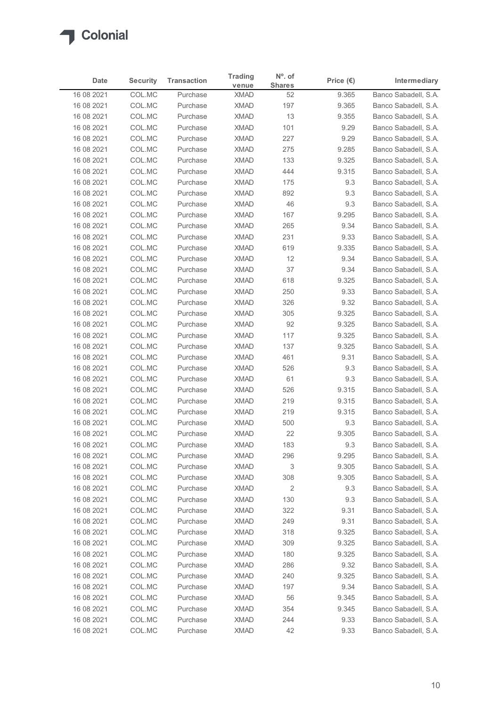

|                          |                  |                      | <b>Trading</b>             | $N^{\circ}$ . of  |                    |                                              |
|--------------------------|------------------|----------------------|----------------------------|-------------------|--------------------|----------------------------------------------|
| <b>Date</b>              | <b>Security</b>  | <b>Transaction</b>   | venue                      | <b>Shares</b>     | Price $(\epsilon)$ | Intermediary                                 |
| 16 08 2021               | COL.MC           | Purchase<br>Purchase | <b>XMAD</b>                | 52                | 9.365              | Banco Sabadell, S.A.                         |
| 16 08 2021<br>16 08 2021 | COL.MC<br>COL.MC | Purchase             | <b>XMAD</b><br><b>XMAD</b> | 197<br>13         | 9.365<br>9.355     | Banco Sabadell, S.A.<br>Banco Sabadell, S.A. |
| 16 08 2021               | COL.MC           | Purchase             | <b>XMAD</b>                | 101               | 9.29               | Banco Sabadell, S.A.                         |
| 16 08 2021               | COL.MC           | Purchase             | <b>XMAD</b>                | 227               | 9.29               | Banco Sabadell, S.A.                         |
| 16 08 2021               | COL.MC           | Purchase             | <b>XMAD</b>                | 275               | 9.285              | Banco Sabadell, S.A.                         |
| 16 08 2021               | COL.MC           | Purchase             | <b>XMAD</b>                | 133               | 9.325              | Banco Sabadell, S.A.                         |
| 16 08 2021               | COL.MC           | Purchase             | <b>XMAD</b>                | 444               | 9.315              | Banco Sabadell, S.A.                         |
| 16 08 2021<br>16 08 2021 | COL.MC<br>COL.MC | Purchase<br>Purchase | <b>XMAD</b><br><b>XMAD</b> | 175<br>892        | 9.3<br>9.3         | Banco Sabadell, S.A.<br>Banco Sabadell, S.A. |
| 16 08 2021               | COL.MC           | Purchase             | <b>XMAD</b>                | 46                | 9.3                | Banco Sabadell, S.A.                         |
| 16 08 2021               | COL.MC           | Purchase             | <b>XMAD</b>                | 167               | 9.295              | Banco Sabadell, S.A.                         |
| 16 08 2021               | COL.MC           | Purchase             | <b>XMAD</b>                | 265               | 9.34               | Banco Sabadell, S.A.                         |
| 16 08 2021               | COL.MC           | Purchase             | XMAD                       | 231               | 9.33               | Banco Sabadell, S.A.                         |
| 16 08 2021               | COL.MC           | Purchase             | <b>XMAD</b>                | 619               | 9.335              | Banco Sabadell, S.A.                         |
| 16 08 2021               | COL.MC           | Purchase             | <b>XMAD</b>                | 12                | 9.34               | Banco Sabadell, S.A.                         |
| 16 08 2021               | COL.MC           | Purchase             | XMAD                       | 37                | 9.34               | Banco Sabadell, S.A.                         |
| 16 08 2021<br>16 08 2021 | COL.MC<br>COL.MC | Purchase<br>Purchase | <b>XMAD</b><br><b>XMAD</b> | 618<br>250        | 9.325<br>9.33      | Banco Sabadell, S.A.<br>Banco Sabadell, S.A. |
| 16 08 2021               | COL.MC           | Purchase             | <b>XMAD</b>                | 326               | 9.32               | Banco Sabadell, S.A.                         |
| 16 08 2021               | COL.MC           | Purchase             | <b>XMAD</b>                | 305               | 9.325              | Banco Sabadell, S.A.                         |
| 16 08 2021               | COL.MC           | Purchase             | XMAD                       | 92                | 9.325              | Banco Sabadell, S.A.                         |
| 16 08 2021               | COL.MC           | Purchase             | <b>XMAD</b>                | 117               | 9.325              | Banco Sabadell, S.A.                         |
| 16 08 2021               | COL.MC           | Purchase             | XMAD                       | 137               | 9.325              | Banco Sabadell, S.A.                         |
| 16 08 2021               | COL.MC           | Purchase             | XMAD                       | 461               | 9.31               | Banco Sabadell, S.A.                         |
| 16 08 2021               | COL.MC           | Purchase             | <b>XMAD</b>                | 526               | 9.3                | Banco Sabadell, S.A.                         |
| 16 08 2021               | COL.MC           | Purchase             | <b>XMAD</b><br><b>XMAD</b> | 61                | 9.3<br>9.315       | Banco Sabadell, S.A.<br>Banco Sabadell, S.A. |
| 16 08 2021<br>16 08 2021 | COL.MC<br>COL.MC | Purchase<br>Purchase | <b>XMAD</b>                | 526<br>219        | 9.315              | Banco Sabadell, S.A.                         |
| 16 08 2021               | COL.MC           | Purchase             | <b>XMAD</b>                | 219               | 9.315              | Banco Sabadell, S.A.                         |
| 16 08 2021               | COL.MC           | Purchase             | <b>XMAD</b>                | 500               | 9.3                | Banco Sabadell, S.A.                         |
| 16 08 2021               | COL.MC           | Purchase             | <b>XMAD</b>                | 22                | 9.305              | Banco Sabadell, S.A.                         |
| 16 08 2021               | COL.MC           | Purchase             | <b>XMAD</b>                | 183               | 9.3                | Banco Sabadell, S.A.                         |
| 16 08 2021               | COL.MC           | Purchase             | <b>XMAD</b>                | 296               | 9.295              | Banco Sabadell, S.A.                         |
| 16 08 2021               | COL.MC           | Purchase             | <b>XMAD</b>                | 3                 | 9.305              | Banco Sabadell, S.A.                         |
| 16 08 2021               | COL.MC           | Purchase             | XMAD                       | 308               | 9.305              | Banco Sabadell, S.A.                         |
| 16 08 2021<br>16 08 2021 | COL.MC<br>COL.MC | Purchase<br>Purchase | <b>XMAD</b><br>XMAD        | $\sqrt{2}$<br>130 | 9.3<br>9.3         | Banco Sabadell, S.A.<br>Banco Sabadell, S.A. |
| 16 08 2021               | COL.MC           | Purchase             | <b>XMAD</b>                | 322               | 9.31               | Banco Sabadell, S.A.                         |
| 16 08 2021               | COL.MC           | Purchase             | <b>XMAD</b>                | 249               | 9.31               | Banco Sabadell, S.A.                         |
| 16 08 2021               | COL.MC           | Purchase             | <b>XMAD</b>                | 318               | 9.325              | Banco Sabadell, S.A.                         |
| 16 08 2021               | COL.MC           | Purchase             | <b>XMAD</b>                | 309               | 9.325              | Banco Sabadell, S.A.                         |
| 16 08 2021               | COL.MC           | Purchase             | <b>XMAD</b>                | 180               | 9.325              | Banco Sabadell, S.A.                         |
| 16 08 2021               | COL.MC           | Purchase             | <b>XMAD</b>                | 286               | 9.32               | Banco Sabadell, S.A.                         |
| 16 08 2021               | COL.MC           | Purchase             | <b>XMAD</b>                | 240               | 9.325              | Banco Sabadell, S.A.                         |
| 16 08 2021               | COL.MC           | Purchase             | <b>XMAD</b>                | 197<br>56         | 9.34               | Banco Sabadell, S.A.                         |
| 16 08 2021<br>16 08 2021 | COL.MC<br>COL.MC | Purchase<br>Purchase | <b>XMAD</b><br><b>XMAD</b> | 354               | 9.345<br>9.345     | Banco Sabadell, S.A.<br>Banco Sabadell, S.A. |
|                          | COL.MC           | Purchase             | <b>XMAD</b>                | 244               | 9.33               | Banco Sabadell, S.A.                         |
| 16 08 2021               |                  |                      |                            |                   |                    |                                              |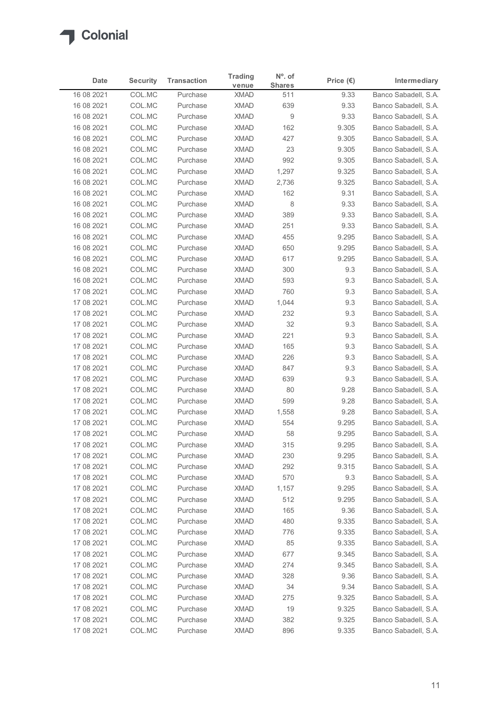

|                          |                  |                      | <b>Trading</b>             | $N^{\circ}$ . of      |                    |                                              |
|--------------------------|------------------|----------------------|----------------------------|-----------------------|--------------------|----------------------------------------------|
| <b>Date</b>              | <b>Security</b>  | <b>Transaction</b>   | venue                      | <b>Shares</b>         | Price $(\epsilon)$ | Intermediary                                 |
| 16 08 2021               | COL.MC           | Purchase<br>Purchase | <b>XMAD</b>                | 511                   | 9.33               | Banco Sabadell, S.A.                         |
| 16 08 2021<br>16 08 2021 | COL.MC<br>COL.MC | Purchase             | <b>XMAD</b><br><b>XMAD</b> | 639<br>$\overline{9}$ | 9.33<br>9.33       | Banco Sabadell, S.A.<br>Banco Sabadell, S.A. |
| 16 08 2021               | COL.MC           | Purchase             | <b>XMAD</b>                | 162                   | 9.305              | Banco Sabadell, S.A.                         |
| 16 08 2021               | COL.MC           | Purchase             | <b>XMAD</b>                | 427                   | 9.305              | Banco Sabadell, S.A.                         |
| 16 08 2021               | COL.MC           | Purchase             | <b>XMAD</b>                | 23                    | 9.305              | Banco Sabadell, S.A.                         |
| 16 08 2021               | COL.MC           | Purchase             | <b>XMAD</b>                | 992                   | 9.305              | Banco Sabadell, S.A.                         |
| 16 08 2021               | COL.MC           | Purchase             | <b>XMAD</b>                | 1,297                 | 9.325              | Banco Sabadell, S.A.                         |
| 16 08 2021               | COL.MC           | Purchase             | <b>XMAD</b>                | 2,736                 | 9.325              | Banco Sabadell, S.A.                         |
| 16 08 2021<br>16 08 2021 | COL.MC<br>COL.MC | Purchase<br>Purchase | <b>XMAD</b><br><b>XMAD</b> | 162<br>8              | 9.31<br>9.33       | Banco Sabadell, S.A.<br>Banco Sabadell, S.A. |
| 16 08 2021               | COL.MC           | Purchase             | <b>XMAD</b>                | 389                   | 9.33               | Banco Sabadell, S.A.                         |
| 16 08 2021               | COL.MC           | Purchase             | <b>XMAD</b>                | 251                   | 9.33               | Banco Sabadell, S.A.                         |
| 16 08 2021               | COL.MC           | Purchase             | XMAD                       | 455                   | 9.295              | Banco Sabadell, S.A.                         |
| 16 08 2021               | COL.MC           | Purchase             | <b>XMAD</b>                | 650                   | 9.295              | Banco Sabadell, S.A.                         |
| 16 08 2021               | COL.MC           | Purchase             | <b>XMAD</b>                | 617                   | 9.295              | Banco Sabadell, S.A.                         |
| 16 08 2021               | COL.MC           | Purchase             | <b>XMAD</b>                | 300                   | 9.3                | Banco Sabadell, S.A.                         |
| 16 08 2021               | COL.MC           | Purchase             | <b>XMAD</b>                | 593                   | 9.3                | Banco Sabadell, S.A.                         |
| 17 08 2021               | COL.MC           | Purchase<br>Purchase | <b>XMAD</b><br><b>XMAD</b> | 760                   | 9.3<br>9.3         | Banco Sabadell, S.A.<br>Banco Sabadell, S.A. |
| 17 08 2021<br>17 08 2021 | COL.MC<br>COL.MC | Purchase             | <b>XMAD</b>                | 1,044<br>232          | 9.3                | Banco Sabadell, S.A.                         |
| 17 08 2021               | COL.MC           | Purchase             | XMAD                       | 32                    | 9.3                | Banco Sabadell, S.A.                         |
| 17 08 2021               | COL.MC           | Purchase             | <b>XMAD</b>                | 221                   | 9.3                | Banco Sabadell, S.A.                         |
| 17 08 2021               | COL.MC           | Purchase             | <b>XMAD</b>                | 165                   | 9.3                | Banco Sabadell, S.A.                         |
| 17 08 2021               | COL.MC           | Purchase             | <b>XMAD</b>                | 226                   | 9.3                | Banco Sabadell, S.A.                         |
| 17 08 2021               | COL.MC           | Purchase             | <b>XMAD</b>                | 847                   | 9.3                | Banco Sabadell, S.A.                         |
| 17 08 2021               | COL.MC           | Purchase             | <b>XMAD</b>                | 639                   | 9.3                | Banco Sabadell, S.A.                         |
| 17 08 2021               | COL.MC           | Purchase             | <b>XMAD</b>                | 80                    | 9.28               | Banco Sabadell, S.A.                         |
| 17 08 2021               | COL.MC           | Purchase             | <b>XMAD</b>                | 599                   | 9.28               | Banco Sabadell, S.A.                         |
| 17 08 2021<br>17 08 2021 | COL.MC<br>COL.MC | Purchase<br>Purchase | <b>XMAD</b><br><b>XMAD</b> | 1,558<br>554          | 9.28<br>9.295      | Banco Sabadell, S.A.<br>Banco Sabadell, S.A. |
| 17 08 2021               | COL.MC           | Purchase             | <b>XMAD</b>                | 58                    | 9.295              | Banco Sabadell, S.A.                         |
| 17 08 2021               | COL.MC           | Purchase             | <b>XMAD</b>                | 315                   | 9.295              | Banco Sabadell, S.A.                         |
| 17 08 2021               | COL.MC           | Purchase             | <b>XMAD</b>                | 230                   | 9.295              | Banco Sabadell, S.A.                         |
| 17 08 2021               | COL.MC           | Purchase             | <b>XMAD</b>                | 292                   | 9.315              | Banco Sabadell, S.A.                         |
| 17 08 2021               | COL.MC           | Purchase             | <b>XMAD</b>                | 570                   | 9.3                | Banco Sabadell, S.A.                         |
| 17 08 2021               | COL.MC           | Purchase             | <b>XMAD</b>                | 1,157                 | 9.295              | Banco Sabadell, S.A.                         |
| 17 08 2021               | COL.MC           | Purchase             | <b>XMAD</b>                | 512                   | 9.295              | Banco Sabadell, S.A.                         |
| 17 08 2021               | COL.MC           | Purchase             | <b>XMAD</b>                | 165                   | 9.36               | Banco Sabadell, S.A.                         |
| 17 08 2021<br>17 08 2021 | COL.MC<br>COL.MC | Purchase<br>Purchase | <b>XMAD</b><br><b>XMAD</b> | 480<br>776            | 9.335<br>9.335     | Banco Sabadell, S.A.<br>Banco Sabadell, S.A. |
| 17 08 2021               | COL.MC           | Purchase             | <b>XMAD</b>                | 85                    | 9.335              | Banco Sabadell, S.A.                         |
| 17 08 2021               | COL.MC           | Purchase             | <b>XMAD</b>                | 677                   | 9.345              | Banco Sabadell, S.A.                         |
| 17 08 2021               | COL.MC           | Purchase             | <b>XMAD</b>                | 274                   | 9.345              | Banco Sabadell, S.A.                         |
| 17 08 2021               | COL.MC           | Purchase             | <b>XMAD</b>                | 328                   | 9.36               | Banco Sabadell, S.A.                         |
| 17 08 2021               | COL.MC           | Purchase             | <b>XMAD</b>                | 34                    | 9.34               | Banco Sabadell, S.A.                         |
| 17 08 2021               | COL.MC           | Purchase             | <b>XMAD</b>                | 275                   | 9.325              | Banco Sabadell, S.A.                         |
| 17 08 2021               | COL.MC           | Purchase             | <b>XMAD</b>                | 19                    | 9.325              | Banco Sabadell, S.A.                         |
| 17 08 2021               | COL.MC           | Purchase             | <b>XMAD</b>                | 382                   | 9.325              | Banco Sabadell, S.A.                         |
| 17 08 2021               | COL.MC           | Purchase             | XMAD                       | 896                   | 9.335              | Banco Sabadell, S.A.                         |